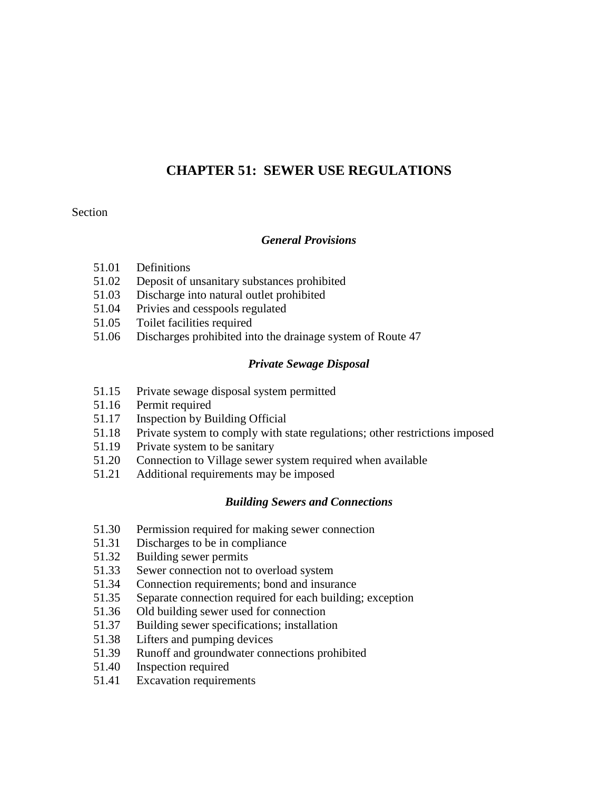## **CHAPTER 51: SEWER USE REGULATIONS**

#### Section

#### *General Provisions*

- 51.01 Definitions
- 51.02 Deposit of unsanitary substances prohibited
- 51.03 Discharge into natural outlet prohibited
- 51.04 Privies and cesspools regulated
- 51.05 Toilet facilities required
- 51.06 Discharges prohibited into the drainage system of Route 47

### *Private Sewage Disposal*

- 51.15 Private sewage disposal system permitted
- 51.16 Permit required
- 51.17 Inspection by Building Official
- 51.18 Private system to comply with state regulations; other restrictions imposed
- 51.19 Private system to be sanitary
- 51.20 Connection to Village sewer system required when available
- 51.21 Additional requirements may be imposed

### *Building Sewers and Connections*

- 51.30 Permission required for making sewer connection
- 51.31 Discharges to be in compliance
- 51.32 Building sewer permits
- 51.33 Sewer connection not to overload system
- 51.34 Connection requirements; bond and insurance
- 51.35 Separate connection required for each building; exception
- 51.36 Old building sewer used for connection
- 51.37 Building sewer specifications; installation
- 51.38 Lifters and pumping devices
- 51.39 Runoff and groundwater connections prohibited
- 51.40 Inspection required
- 51.41 Excavation requirements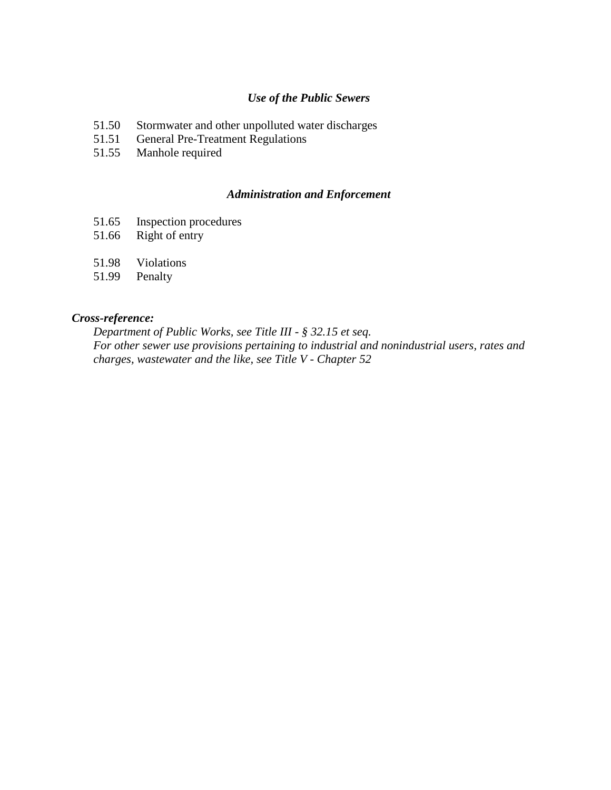#### *Use of the Public Sewers*

- 51.50 Stormwater and other unpolluted water discharges<br>51.51 General Pre-Treatment Regulations
- General Pre-Treatment Regulations
- 51.55 Manhole required

### *Administration and Enforcement*

- 51.65 Inspection procedures
- 51.66 Right of entry
- 51.98 Violations
- 51.99 Penalty

#### *Cross-reference:*

*Department of Public Works, see Title III - § 32.15 et seq. For other sewer use provisions pertaining to industrial and nonindustrial users, rates and charges, wastewater and the like, see Title V - Chapter 52*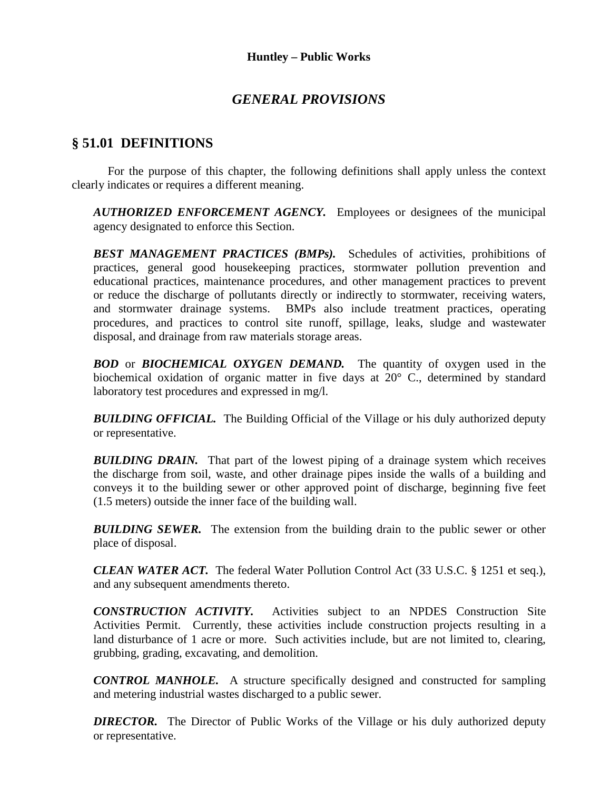## *GENERAL PROVISIONS*

## **§ 51.01 DEFINITIONS**

For the purpose of this chapter, the following definitions shall apply unless the context clearly indicates or requires a different meaning.

*AUTHORIZED ENFORCEMENT AGENCY.* Employees or designees of the municipal agency designated to enforce this Section.

*BEST MANAGEMENT PRACTICES (BMPs).* Schedules of activities, prohibitions of practices, general good housekeeping practices, stormwater pollution prevention and educational practices, maintenance procedures, and other management practices to prevent or reduce the discharge of pollutants directly or indirectly to stormwater, receiving waters, and stormwater drainage systems. BMPs also include treatment practices, operating procedures, and practices to control site runoff, spillage, leaks, sludge and wastewater disposal, and drainage from raw materials storage areas.

**BOD** or **BIOCHEMICAL OXYGEN DEMAND.** The quantity of oxygen used in the biochemical oxidation of organic matter in five days at 20° C., determined by standard laboratory test procedures and expressed in mg/l.

**BUILDING OFFICIAL.** The Building Official of the Village or his duly authorized deputy or representative.

**BUILDING DRAIN.** That part of the lowest piping of a drainage system which receives the discharge from soil, waste, and other drainage pipes inside the walls of a building and conveys it to the building sewer or other approved point of discharge, beginning five feet (1.5 meters) outside the inner face of the building wall.

**BUILDING SEWER.** The extension from the building drain to the public sewer or other place of disposal.

*CLEAN WATER ACT.* The federal Water Pollution Control Act (33 U.S.C. § 1251 et seq.), and any subsequent amendments thereto.

*CONSTRUCTION ACTIVITY.* Activities subject to an NPDES Construction Site Activities Permit. Currently, these activities include construction projects resulting in a land disturbance of 1 acre or more.Such activities include, but are not limited to, clearing, grubbing, grading, excavating, and demolition.

*CONTROL MANHOLE.* A structure specifically designed and constructed for sampling and metering industrial wastes discharged to a public sewer.

*DIRECTOR.* The Director of Public Works of the Village or his duly authorized deputy or representative.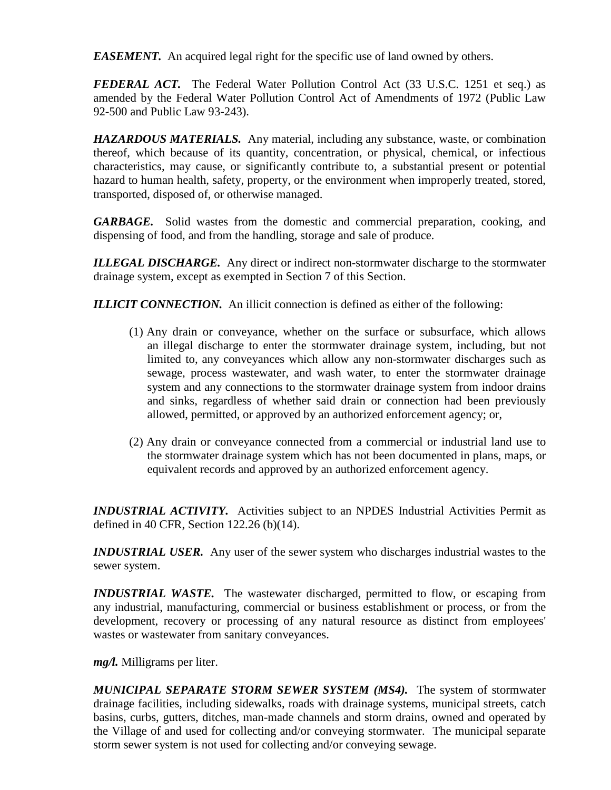*EASEMENT.* An acquired legal right for the specific use of land owned by others.

*FEDERAL ACT.* The Federal Water Pollution Control Act (33 U.S.C. 1251 et seq.) as amended by the Federal Water Pollution Control Act of Amendments of 1972 (Public Law 92-500 and Public Law 93-243).

*HAZARDOUS MATERIALS.* Any material, including any substance, waste, or combination thereof, which because of its quantity, concentration, or physical, chemical, or infectious characteristics, may cause, or significantly contribute to, a substantial present or potential hazard to human health, safety, property, or the environment when improperly treated, stored, transported, disposed of, or otherwise managed.

*GARBAGE.* Solid wastes from the domestic and commercial preparation, cooking, and dispensing of food, and from the handling, storage and sale of produce.

*ILLEGAL DISCHARGE.* Any direct or indirect non-stormwater discharge to the stormwater drainage system, except as exempted in Section 7 of this Section.

**ILLICIT CONNECTION.** An illicit connection is defined as either of the following:

- (1) Any drain or conveyance, whether on the surface or subsurface, which allows an illegal discharge to enter the stormwater drainage system, including, but not limited to, any conveyances which allow any non-stormwater discharges such as sewage, process wastewater, and wash water, to enter the stormwater drainage system and any connections to the stormwater drainage system from indoor drains and sinks, regardless of whether said drain or connection had been previously allowed, permitted, or approved by an authorized enforcement agency; or,
- (2) Any drain or conveyance connected from a commercial or industrial land use to the stormwater drainage system which has not been documented in plans, maps, or equivalent records and approved by an authorized enforcement agency.

*INDUSTRIAL ACTIVITY.* Activities subject to an NPDES Industrial Activities Permit as defined in 40 CFR, Section 122.26 (b)(14).

*INDUSTRIAL USER.* Any user of the sewer system who discharges industrial wastes to the sewer system.

*INDUSTRIAL WASTE*. The wastewater discharged, permitted to flow, or escaping from any industrial, manufacturing, commercial or business establishment or process, or from the development, recovery or processing of any natural resource as distinct from employees' wastes or wastewater from sanitary conveyances.

*mg/l.* Milligrams per liter.

*MUNICIPAL SEPARATE STORM SEWER SYSTEM (MS4).* The system of stormwater drainage facilities, including sidewalks, roads with drainage systems, municipal streets, catch basins, curbs, gutters, ditches, man-made channels and storm drains, owned and operated by the Village of and used for collecting and/or conveying stormwater. The municipal separate storm sewer system is not used for collecting and/or conveying sewage.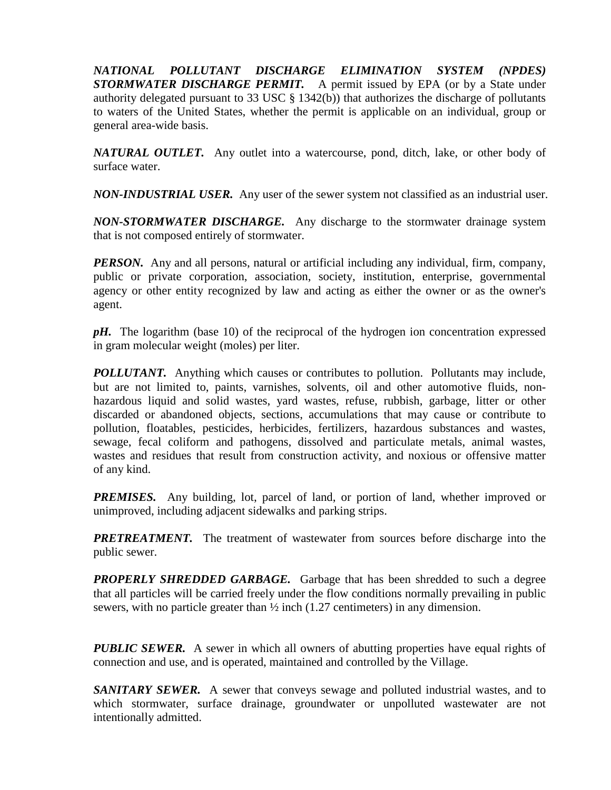*NATIONAL POLLUTANT DISCHARGE ELIMINATION SYSTEM (NPDES) STORMWATER DISCHARGE PERMIT.* A permit issued by EPA (or by a State under authority delegated pursuant to 33 USC § 1342(b)) that authorizes the discharge of pollutants to waters of the United States, whether the permit is applicable on an individual, group or general area-wide basis.

*NATURAL OUTLET.* Any outlet into a watercourse, pond, ditch, lake, or other body of surface water.

*NON-INDUSTRIAL USER.* Any user of the sewer system not classified as an industrial user.

*NON-STORMWATER DISCHARGE.* Any discharge to the stormwater drainage system that is not composed entirely of stormwater.

*PERSON.* Any and all persons, natural or artificial including any individual, firm, company, public or private corporation, association, society, institution, enterprise, governmental agency or other entity recognized by law and acting as either the owner or as the owner's agent.

*pH.* The logarithm (base 10) of the reciprocal of the hydrogen ion concentration expressed in gram molecular weight (moles) per liter.

*POLLUTANT.* Anything which causes or contributes to pollution. Pollutants may include, but are not limited to, paints, varnishes, solvents, oil and other automotive fluids, nonhazardous liquid and solid wastes, yard wastes, refuse, rubbish, garbage, litter or other discarded or abandoned objects, sections, accumulations that may cause or contribute to pollution, floatables, pesticides, herbicides, fertilizers, hazardous substances and wastes, sewage, fecal coliform and pathogens, dissolved and particulate metals, animal wastes, wastes and residues that result from construction activity, and noxious or offensive matter of any kind.

**PREMISES.** Any building, lot, parcel of land, or portion of land, whether improved or unimproved, including adjacent sidewalks and parking strips.

**PRETREATMENT.** The treatment of wastewater from sources before discharge into the public sewer.

**PROPERLY SHREDDED GARBAGE.** Garbage that has been shredded to such a degree that all particles will be carried freely under the flow conditions normally prevailing in public sewers, with no particle greater than  $\frac{1}{2}$  inch (1.27 centimeters) in any dimension.

*PUBLIC SEWER.* A sewer in which all owners of abutting properties have equal rights of connection and use, and is operated, maintained and controlled by the Village.

*SANITARY SEWER.* A sewer that conveys sewage and polluted industrial wastes, and to which stormwater, surface drainage, groundwater or unpolluted wastewater are not intentionally admitted.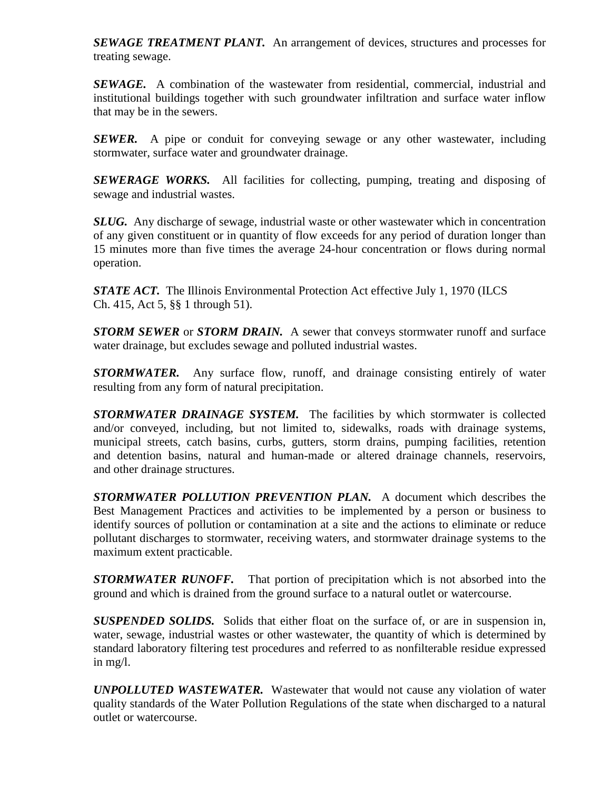*SEWAGE TREATMENT PLANT.* An arrangement of devices, structures and processes for treating sewage.

*SEWAGE.* A combination of the wastewater from residential, commercial, industrial and institutional buildings together with such groundwater infiltration and surface water inflow that may be in the sewers.

*SEWER.* A pipe or conduit for conveying sewage or any other wastewater, including stormwater, surface water and groundwater drainage.

*SEWERAGE WORKS.* All facilities for collecting, pumping, treating and disposing of sewage and industrial wastes.

*SLUG.* Any discharge of sewage, industrial waste or other wastewater which in concentration of any given constituent or in quantity of flow exceeds for any period of duration longer than 15 minutes more than five times the average 24-hour concentration or flows during normal operation.

**STATE ACT.** The Illinois Environmental Protection Act effective July 1, 1970 (ILCS Ch. 415, Act 5, §§ 1 through 51).

*STORM SEWER* or *STORM DRAIN.* A sewer that conveys stormwater runoff and surface water drainage, but excludes sewage and polluted industrial wastes.

*STORMWATER.* Any surface flow, runoff, and drainage consisting entirely of water resulting from any form of natural precipitation.

*STORMWATER DRAINAGE SYSTEM.* The facilities by which stormwater is collected and/or conveyed, including, but not limited to, sidewalks, roads with drainage systems, municipal streets, catch basins, curbs, gutters, storm drains, pumping facilities, retention and detention basins, natural and human-made or altered drainage channels, reservoirs, and other drainage structures.

*STORMWATER POLLUTION PREVENTION PLAN.* A document which describes the Best Management Practices and activities to be implemented by a person or business to identify sources of pollution or contamination at a site and the actions to eliminate or reduce pollutant discharges to stormwater, receiving waters, and stormwater drainage systems to the maximum extent practicable.

*STORMWATER RUNOFF.* That portion of precipitation which is not absorbed into the ground and which is drained from the ground surface to a natural outlet or watercourse.

*SUSPENDED SOLIDS.* Solids that either float on the surface of, or are in suspension in, water, sewage, industrial wastes or other wastewater, the quantity of which is determined by standard laboratory filtering test procedures and referred to as nonfilterable residue expressed in mg/l.

*UNPOLLUTED WASTEWATER.* Wastewater that would not cause any violation of water quality standards of the Water Pollution Regulations of the state when discharged to a natural outlet or watercourse.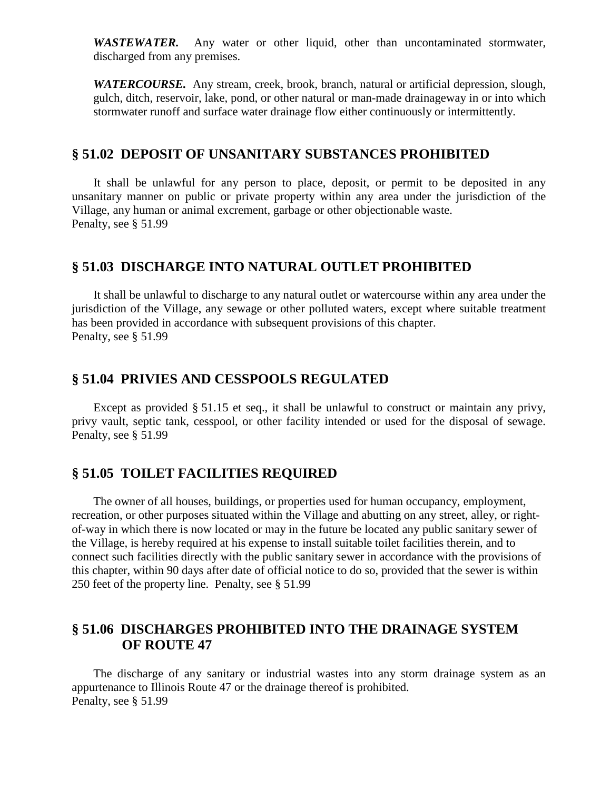*WASTEWATER.* Any water or other liquid, other than uncontaminated stormwater, discharged from any premises.

*WATERCOURSE.* Any stream, creek, brook, branch, natural or artificial depression, slough, gulch, ditch, reservoir, lake, pond, or other natural or man-made drainageway in or into which stormwater runoff and surface water drainage flow either continuously or intermittently.

### **§ 51.02 DEPOSIT OF UNSANITARY SUBSTANCES PROHIBITED**

It shall be unlawful for any person to place, deposit, or permit to be deposited in any unsanitary manner on public or private property within any area under the jurisdiction of the Village, any human or animal excrement, garbage or other objectionable waste. Penalty, see § 51.99

#### **§ 51.03 DISCHARGE INTO NATURAL OUTLET PROHIBITED**

It shall be unlawful to discharge to any natural outlet or watercourse within any area under the jurisdiction of the Village, any sewage or other polluted waters, except where suitable treatment has been provided in accordance with subsequent provisions of this chapter. Penalty, see § 51.99

### **§ 51.04 PRIVIES AND CESSPOOLS REGULATED**

Except as provided § 51.15 et seq., it shall be unlawful to construct or maintain any privy, privy vault, septic tank, cesspool, or other facility intended or used for the disposal of sewage. Penalty, see § 51.99

## **§ 51.05 TOILET FACILITIES REQUIRED**

The owner of all houses, buildings, or properties used for human occupancy, employment, recreation, or other purposes situated within the Village and abutting on any street, alley, or rightof-way in which there is now located or may in the future be located any public sanitary sewer of the Village, is hereby required at his expense to install suitable toilet facilities therein, and to connect such facilities directly with the public sanitary sewer in accordance with the provisions of this chapter, within 90 days after date of official notice to do so, provided that the sewer is within 250 feet of the property line. Penalty, see § 51.99

## **§ 51.06 DISCHARGES PROHIBITED INTO THE DRAINAGE SYSTEM OF ROUTE 47**

The discharge of any sanitary or industrial wastes into any storm drainage system as an appurtenance to Illinois Route 47 or the drainage thereof is prohibited. Penalty, see § 51.99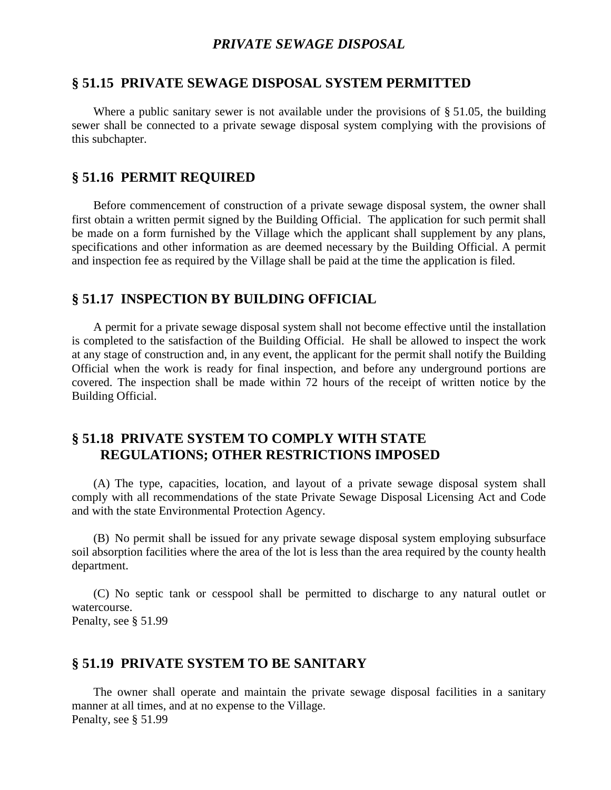### *PRIVATE SEWAGE DISPOSAL*

### **§ 51.15 PRIVATE SEWAGE DISPOSAL SYSTEM PERMITTED**

Where a public sanitary sewer is not available under the provisions of § 51.05, the building sewer shall be connected to a private sewage disposal system complying with the provisions of this subchapter.

## **§ 51.16 PERMIT REQUIRED**

Before commencement of construction of a private sewage disposal system, the owner shall first obtain a written permit signed by the Building Official. The application for such permit shall be made on a form furnished by the Village which the applicant shall supplement by any plans, specifications and other information as are deemed necessary by the Building Official. A permit and inspection fee as required by the Village shall be paid at the time the application is filed.

### **§ 51.17 INSPECTION BY BUILDING OFFICIAL**

A permit for a private sewage disposal system shall not become effective until the installation is completed to the satisfaction of the Building Official. He shall be allowed to inspect the work at any stage of construction and, in any event, the applicant for the permit shall notify the Building Official when the work is ready for final inspection, and before any underground portions are covered. The inspection shall be made within 72 hours of the receipt of written notice by the Building Official.

## **§ 51.18 PRIVATE SYSTEM TO COMPLY WITH STATE REGULATIONS; OTHER RESTRICTIONS IMPOSED**

(A) The type, capacities, location, and layout of a private sewage disposal system shall comply with all recommendations of the state Private Sewage Disposal Licensing Act and Code and with the state Environmental Protection Agency.

(B) No permit shall be issued for any private sewage disposal system employing subsurface soil absorption facilities where the area of the lot is less than the area required by the county health department.

(C) No septic tank or cesspool shall be permitted to discharge to any natural outlet or watercourse. Penalty, see § 51.99

#### **§ 51.19 PRIVATE SYSTEM TO BE SANITARY**

The owner shall operate and maintain the private sewage disposal facilities in a sanitary manner at all times, and at no expense to the Village. Penalty, see § 51.99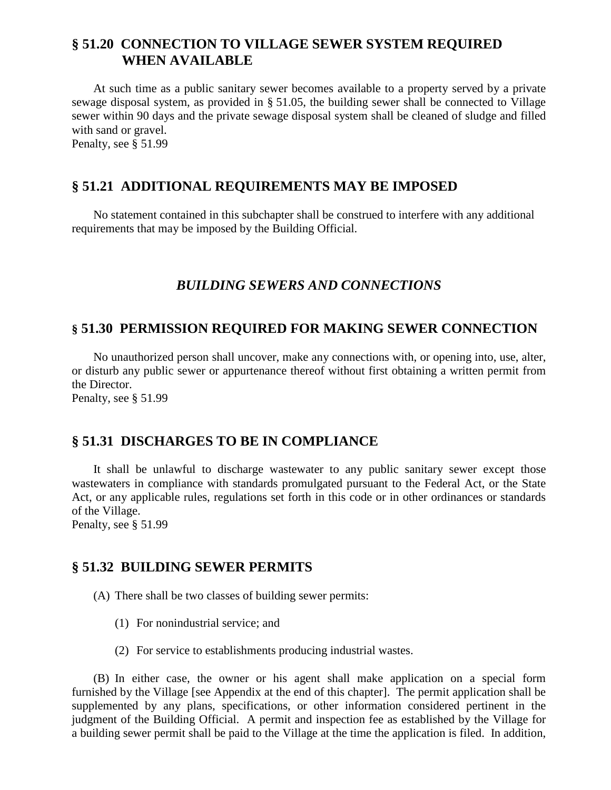## **§ 51.20 CONNECTION TO VILLAGE SEWER SYSTEM REQUIRED WHEN AVAILABLE**

At such time as a public sanitary sewer becomes available to a property served by a private sewage disposal system, as provided in § 51.05, the building sewer shall be connected to Village sewer within 90 days and the private sewage disposal system shall be cleaned of sludge and filled with sand or gravel.

Penalty, see § 51.99

## **§ 51.21 ADDITIONAL REQUIREMENTS MAY BE IMPOSED**

No statement contained in this subchapter shall be construed to interfere with any additional requirements that may be imposed by the Building Official.

## *BUILDING SEWERS AND CONNECTIONS*

## **§ 51.30 PERMISSION REQUIRED FOR MAKING SEWER CONNECTION**

No unauthorized person shall uncover, make any connections with, or opening into, use, alter, or disturb any public sewer or appurtenance thereof without first obtaining a written permit from the Director.

Penalty, see § 51.99

## **§ 51.31 DISCHARGES TO BE IN COMPLIANCE**

It shall be unlawful to discharge wastewater to any public sanitary sewer except those wastewaters in compliance with standards promulgated pursuant to the Federal Act, or the State Act, or any applicable rules, regulations set forth in this code or in other ordinances or standards of the Village.

Penalty, see § 51.99

## **§ 51.32 BUILDING SEWER PERMITS**

(A) There shall be two classes of building sewer permits:

- (1) For nonindustrial service; and
- (2) For service to establishments producing industrial wastes.

(B) In either case, the owner or his agent shall make application on a special form furnished by the Village [see Appendix at the end of this chapter]. The permit application shall be supplemented by any plans, specifications, or other information considered pertinent in the judgment of the Building Official. A permit and inspection fee as established by the Village for a building sewer permit shall be paid to the Village at the time the application is filed. In addition,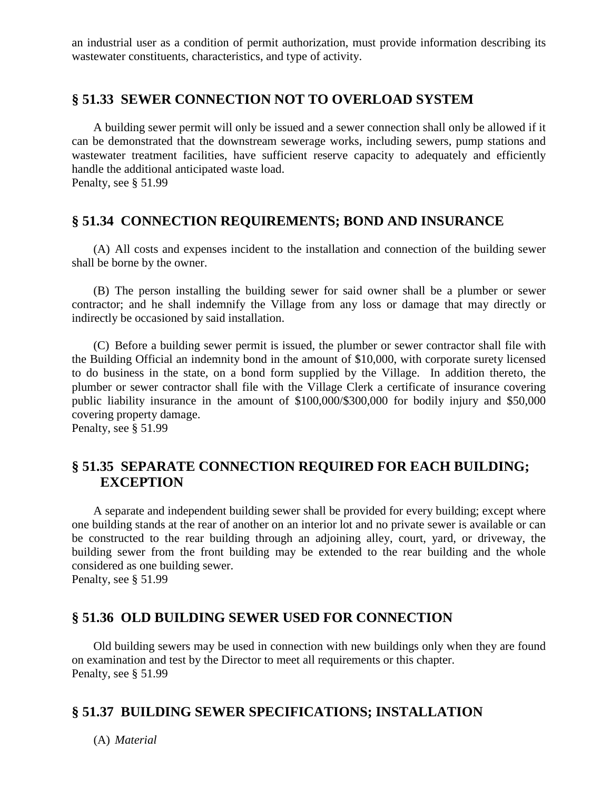an industrial user as a condition of permit authorization, must provide information describing its wastewater constituents, characteristics, and type of activity.

### **§ 51.33 SEWER CONNECTION NOT TO OVERLOAD SYSTEM**

A building sewer permit will only be issued and a sewer connection shall only be allowed if it can be demonstrated that the downstream sewerage works, including sewers, pump stations and wastewater treatment facilities, have sufficient reserve capacity to adequately and efficiently handle the additional anticipated waste load. Penalty, see § 51.99

## **§ 51.34 CONNECTION REQUIREMENTS; BOND AND INSURANCE**

(A) All costs and expenses incident to the installation and connection of the building sewer shall be borne by the owner.

(B) The person installing the building sewer for said owner shall be a plumber or sewer contractor; and he shall indemnify the Village from any loss or damage that may directly or indirectly be occasioned by said installation.

(C) Before a building sewer permit is issued, the plumber or sewer contractor shall file with the Building Official an indemnity bond in the amount of \$10,000, with corporate surety licensed to do business in the state, on a bond form supplied by the Village. In addition thereto, the plumber or sewer contractor shall file with the Village Clerk a certificate of insurance covering public liability insurance in the amount of \$100,000/\$300,000 for bodily injury and \$50,000 covering property damage.

Penalty, see § 51.99

## **§ 51.35 SEPARATE CONNECTION REQUIRED FOR EACH BUILDING; EXCEPTION**

A separate and independent building sewer shall be provided for every building; except where one building stands at the rear of another on an interior lot and no private sewer is available or can be constructed to the rear building through an adjoining alley, court, yard, or driveway, the building sewer from the front building may be extended to the rear building and the whole considered as one building sewer.

Penalty, see § 51.99

## **§ 51.36 OLD BUILDING SEWER USED FOR CONNECTION**

Old building sewers may be used in connection with new buildings only when they are found on examination and test by the Director to meet all requirements or this chapter. Penalty, see § 51.99

## **§ 51.37 BUILDING SEWER SPECIFICATIONS; INSTALLATION**

(A) *Material*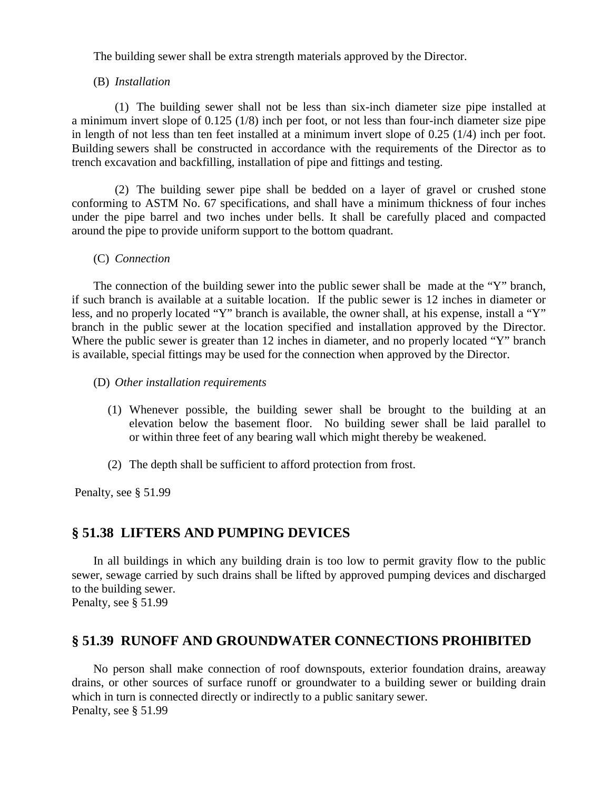The building sewer shall be extra strength materials approved by the Director.

#### (B) *Installation*

(1) The building sewer shall not be less than six-inch diameter size pipe installed at a minimum invert slope of 0.125 (1/8) inch per foot, or not less than four-inch diameter size pipe in length of not less than ten feet installed at a minimum invert slope of 0.25 (1/4) inch per foot. Building sewers shall be constructed in accordance with the requirements of the Director as to trench excavation and backfilling, installation of pipe and fittings and testing.

(2) The building sewer pipe shall be bedded on a layer of gravel or crushed stone conforming to ASTM No. 67 specifications, and shall have a minimum thickness of four inches under the pipe barrel and two inches under bells. It shall be carefully placed and compacted around the pipe to provide uniform support to the bottom quadrant.

(C) *Connection*

The connection of the building sewer into the public sewer shall be made at the "Y" branch, if such branch is available at a suitable location. If the public sewer is 12 inches in diameter or less, and no properly located "Y" branch is available, the owner shall, at his expense, install a "Y" branch in the public sewer at the location specified and installation approved by the Director. Where the public sewer is greater than 12 inches in diameter, and no properly located "Y" branch is available, special fittings may be used for the connection when approved by the Director.

- (D) *Other installation requirements*
	- (1) Whenever possible, the building sewer shall be brought to the building at an elevation below the basement floor. No building sewer shall be laid parallel to or within three feet of any bearing wall which might thereby be weakened.
	- (2) The depth shall be sufficient to afford protection from frost.

Penalty, see § 51.99

## **§ 51.38 LIFTERS AND PUMPING DEVICES**

In all buildings in which any building drain is too low to permit gravity flow to the public sewer, sewage carried by such drains shall be lifted by approved pumping devices and discharged to the building sewer.

Penalty, see § 51.99

## **§ 51.39 RUNOFF AND GROUNDWATER CONNECTIONS PROHIBITED**

No person shall make connection of roof downspouts, exterior foundation drains, areaway drains, or other sources of surface runoff or groundwater to a building sewer or building drain which in turn is connected directly or indirectly to a public sanitary sewer. Penalty, see § 51.99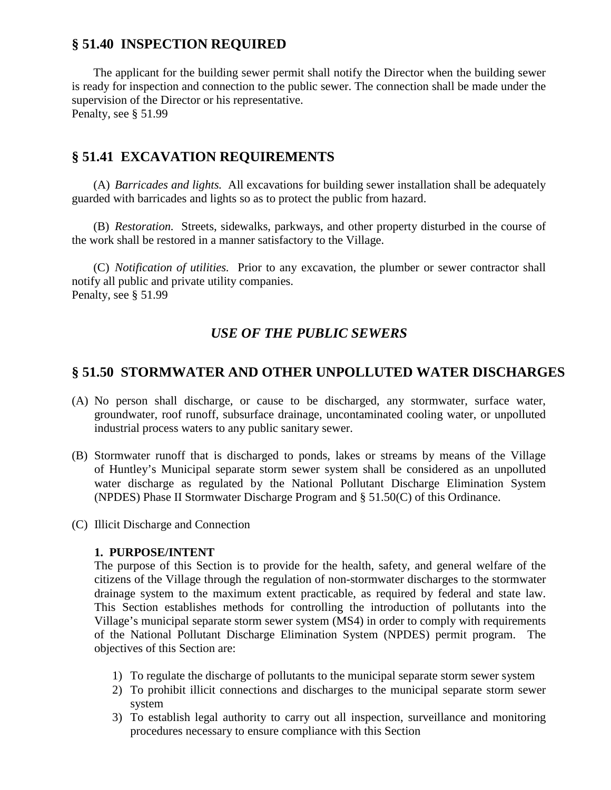## **§ 51.40 INSPECTION REQUIRED**

The applicant for the building sewer permit shall notify the Director when the building sewer is ready for inspection and connection to the public sewer. The connection shall be made under the supervision of the Director or his representative. Penalty, see § 51.99

## **§ 51.41 EXCAVATION REQUIREMENTS**

(A) *Barricades and lights.* All excavations for building sewer installation shall be adequately guarded with barricades and lights so as to protect the public from hazard.

(B) *Restoration.* Streets, sidewalks, parkways, and other property disturbed in the course of the work shall be restored in a manner satisfactory to the Village.

(C) *Notification of utilities.* Prior to any excavation, the plumber or sewer contractor shall notify all public and private utility companies. Penalty, see § 51.99

## *USE OF THE PUBLIC SEWERS*

## **§ 51.50 STORMWATER AND OTHER UNPOLLUTED WATER DISCHARGES**

- (A) No person shall discharge, or cause to be discharged, any stormwater, surface water, groundwater, roof runoff, subsurface drainage, uncontaminated cooling water, or unpolluted industrial process waters to any public sanitary sewer.
- (B) Stormwater runoff that is discharged to ponds, lakes or streams by means of the Village of Huntley's Municipal separate storm sewer system shall be considered as an unpolluted water discharge as regulated by the National Pollutant Discharge Elimination System (NPDES) Phase II Stormwater Discharge Program and § 51.50(C) of this Ordinance.
- (C) Illicit Discharge and Connection

#### **1. PURPOSE/INTENT**

The purpose of this Section is to provide for the health, safety, and general welfare of the citizens of the Village through the regulation of non-stormwater discharges to the stormwater drainage system to the maximum extent practicable, as required by federal and state law. This Section establishes methods for controlling the introduction of pollutants into the Village's municipal separate storm sewer system (MS4) in order to comply with requirements of the National Pollutant Discharge Elimination System (NPDES) permit program. The objectives of this Section are:

- 1) To regulate the discharge of pollutants to the municipal separate storm sewer system
- 2) To prohibit illicit connections and discharges to the municipal separate storm sewer system
- 3) To establish legal authority to carry out all inspection, surveillance and monitoring procedures necessary to ensure compliance with this Section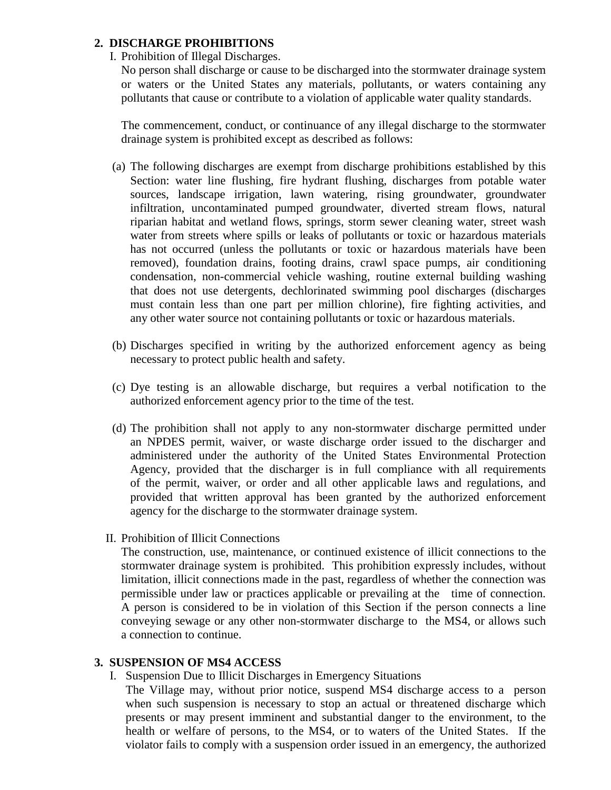### **2. DISCHARGE PROHIBITIONS**

I. Prohibition of Illegal Discharges.

No person shall discharge or cause to be discharged into the stormwater drainage system or waters or the United States any materials, pollutants, or waters containing any pollutants that cause or contribute to a violation of applicable water quality standards.

The commencement, conduct, or continuance of any illegal discharge to the stormwater drainage system is prohibited except as described as follows:

- (a) The following discharges are exempt from discharge prohibitions established by this Section: water line flushing, fire hydrant flushing, discharges from potable water sources, landscape irrigation, lawn watering, rising groundwater, groundwater infiltration, uncontaminated pumped groundwater, diverted stream flows, natural riparian habitat and wetland flows, springs, storm sewer cleaning water, street wash water from streets where spills or leaks of pollutants or toxic or hazardous materials has not occurred (unless the pollutants or toxic or hazardous materials have been removed), foundation drains, footing drains, crawl space pumps, air conditioning condensation, non-commercial vehicle washing, routine external building washing that does not use detergents, dechlorinated swimming pool discharges (discharges must contain less than one part per million chlorine), fire fighting activities, and any other water source not containing pollutants or toxic or hazardous materials.
- (b) Discharges specified in writing by the authorized enforcement agency as being necessary to protect public health and safety.
- (c) Dye testing is an allowable discharge, but requires a verbal notification to the authorized enforcement agency prior to the time of the test.
- (d) The prohibition shall not apply to any non-stormwater discharge permitted under an NPDES permit, waiver, or waste discharge order issued to the discharger and administered under the authority of the United States Environmental Protection Agency, provided that the discharger is in full compliance with all requirements of the permit, waiver, or order and all other applicable laws and regulations, and provided that written approval has been granted by the authorized enforcement agency for the discharge to the stormwater drainage system.
- II. Prohibition of Illicit Connections

The construction, use, maintenance, or continued existence of illicit connections to the stormwater drainage system is prohibited. This prohibition expressly includes, without limitation, illicit connections made in the past, regardless of whether the connection was permissible under law or practices applicable or prevailing at the time of connection. A person is considered to be in violation of this Section if the person connects a line conveying sewage or any other non-stormwater discharge to the MS4, or allows such a connection to continue.

#### **3. SUSPENSION OF MS4 ACCESS**

I. Suspension Due to Illicit Discharges in Emergency Situations

The Village may, without prior notice, suspend MS4 discharge access to a person when such suspension is necessary to stop an actual or threatened discharge which presents or may present imminent and substantial danger to the environment, to the health or welfare of persons, to the MS4, or to waters of the United States. If the violator fails to comply with a suspension order issued in an emergency, the authorized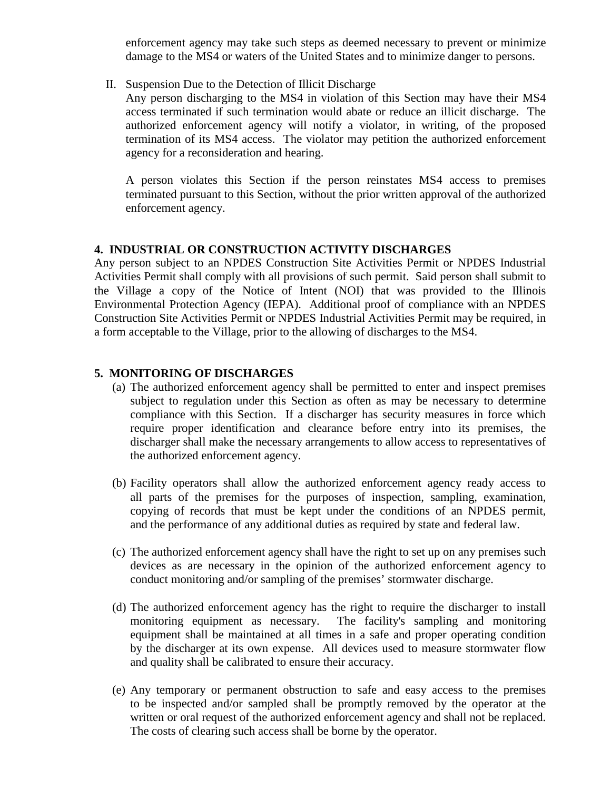enforcement agency may take such steps as deemed necessary to prevent or minimize damage to the MS4 or waters of the United States and to minimize danger to persons.

II. Suspension Due to the Detection of Illicit Discharge

Any person discharging to the MS4 in violation of this Section may have their MS4 access terminated if such termination would abate or reduce an illicit discharge. The authorized enforcement agency will notify a violator, in writing, of the proposed termination of its MS4 access. The violator may petition the authorized enforcement agency for a reconsideration and hearing.

A person violates this Section if the person reinstates MS4 access to premises terminated pursuant to this Section, without the prior written approval of the authorized enforcement agency.

#### **4. INDUSTRIAL OR CONSTRUCTION ACTIVITY DISCHARGES**

Any person subject to an NPDES Construction Site Activities Permit or NPDES Industrial Activities Permit shall comply with all provisions of such permit. Said person shall submit to the Village a copy of the Notice of Intent (NOI) that was provided to the Illinois Environmental Protection Agency (IEPA). Additional proof of compliance with an NPDES Construction Site Activities Permit or NPDES Industrial Activities Permit may be required, in a form acceptable to the Village, prior to the allowing of discharges to the MS4.

#### **5. MONITORING OF DISCHARGES**

- (a) The authorized enforcement agency shall be permitted to enter and inspect premises subject to regulation under this Section as often as may be necessary to determine compliance with this Section. If a discharger has security measures in force which require proper identification and clearance before entry into its premises, the discharger shall make the necessary arrangements to allow access to representatives of the authorized enforcement agency.
- (b) Facility operators shall allow the authorized enforcement agency ready access to all parts of the premises for the purposes of inspection, sampling, examination, copying of records that must be kept under the conditions of an NPDES permit, and the performance of any additional duties as required by state and federal law.
- (c) The authorized enforcement agency shall have the right to set up on any premises such devices as are necessary in the opinion of the authorized enforcement agency to conduct monitoring and/or sampling of the premises' stormwater discharge.
- (d) The authorized enforcement agency has the right to require the discharger to install monitoring equipment as necessary. The facility's sampling and monitoring equipment shall be maintained at all times in a safe and proper operating condition by the discharger at its own expense. All devices used to measure stormwater flow and quality shall be calibrated to ensure their accuracy.
- (e) Any temporary or permanent obstruction to safe and easy access to the premises to be inspected and/or sampled shall be promptly removed by the operator at the written or oral request of the authorized enforcement agency and shall not be replaced. The costs of clearing such access shall be borne by the operator.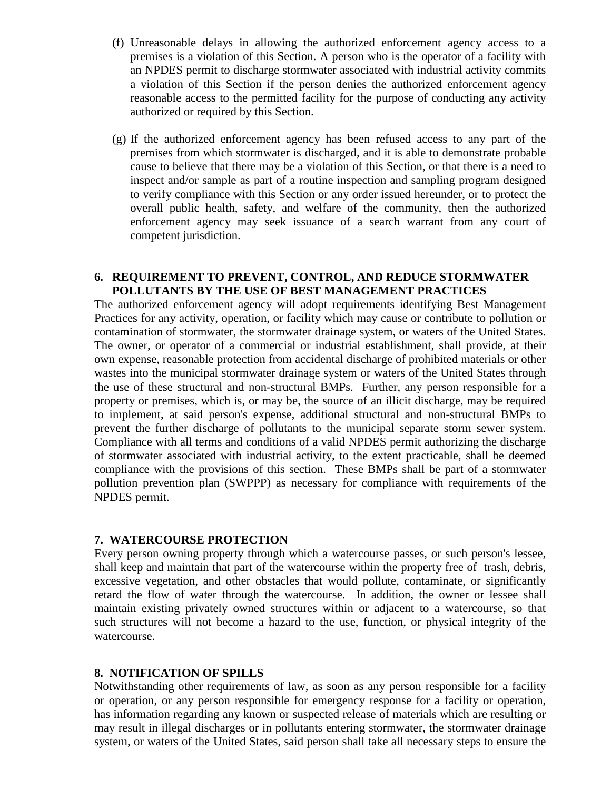- (f) Unreasonable delays in allowing the authorized enforcement agency access to a premises is a violation of this Section. A person who is the operator of a facility with an NPDES permit to discharge stormwater associated with industrial activity commits a violation of this Section if the person denies the authorized enforcement agency reasonable access to the permitted facility for the purpose of conducting any activity authorized or required by this Section.
- (g) If the authorized enforcement agency has been refused access to any part of the premises from which stormwater is discharged, and it is able to demonstrate probable cause to believe that there may be a violation of this Section, or that there is a need to inspect and/or sample as part of a routine inspection and sampling program designed to verify compliance with this Section or any order issued hereunder, or to protect the overall public health, safety, and welfare of the community, then the authorized enforcement agency may seek issuance of a search warrant from any court of competent jurisdiction.

#### **6. REQUIREMENT TO PREVENT, CONTROL, AND REDUCE STORMWATER POLLUTANTS BY THE USE OF BEST MANAGEMENT PRACTICES**

The authorized enforcement agency will adopt requirements identifying Best Management Practices for any activity, operation, or facility which may cause or contribute to pollution or contamination of stormwater, the stormwater drainage system, or waters of the United States. The owner, or operator of a commercial or industrial establishment, shall provide, at their own expense, reasonable protection from accidental discharge of prohibited materials or other wastes into the municipal stormwater drainage system or waters of the United States through the use of these structural and non-structural BMPs. Further, any person responsible for a property or premises, which is, or may be, the source of an illicit discharge, may be required to implement, at said person's expense, additional structural and non-structural BMPs to prevent the further discharge of pollutants to the municipal separate storm sewer system. Compliance with all terms and conditions of a valid NPDES permit authorizing the discharge of stormwater associated with industrial activity, to the extent practicable, shall be deemed compliance with the provisions of this section. These BMPs shall be part of a stormwater pollution prevention plan (SWPPP) as necessary for compliance with requirements of the NPDES permit.

#### **7. WATERCOURSE PROTECTION**

Every person owning property through which a watercourse passes, or such person's lessee, shall keep and maintain that part of the watercourse within the property free of trash, debris, excessive vegetation, and other obstacles that would pollute, contaminate, or significantly retard the flow of water through the watercourse. In addition, the owner or lessee shall maintain existing privately owned structures within or adjacent to a watercourse, so that such structures will not become a hazard to the use, function, or physical integrity of the watercourse.

#### **8. NOTIFICATION OF SPILLS**

Notwithstanding other requirements of law, as soon as any person responsible for a facility or operation, or any person responsible for emergency response for a facility or operation, has information regarding any known or suspected release of materials which are resulting or may result in illegal discharges or in pollutants entering stormwater, the stormwater drainage system, or waters of the United States, said person shall take all necessary steps to ensure the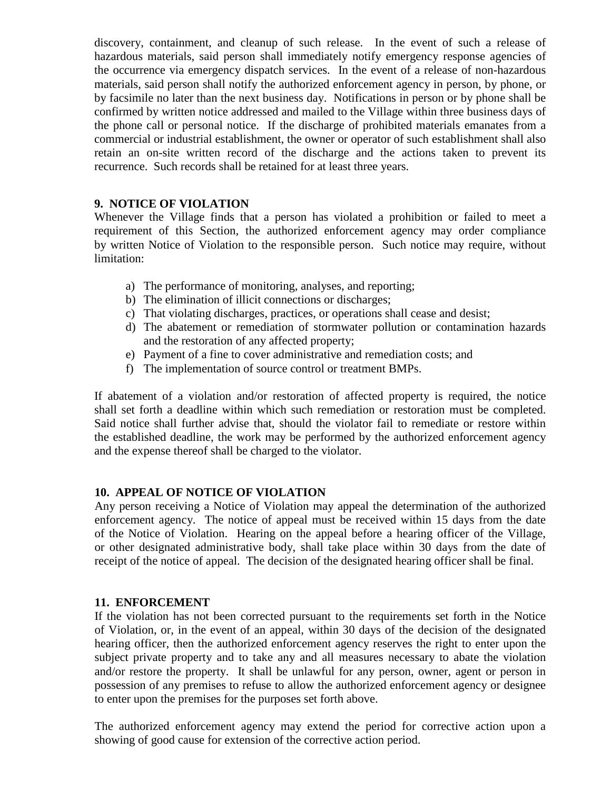discovery, containment, and cleanup of such release. In the event of such a release of hazardous materials, said person shall immediately notify emergency response agencies of the occurrence via emergency dispatch services. In the event of a release of non-hazardous materials, said person shall notify the authorized enforcement agency in person, by phone, or by facsimile no later than the next business day. Notifications in person or by phone shall be confirmed by written notice addressed and mailed to the Village within three business days of the phone call or personal notice. If the discharge of prohibited materials emanates from a commercial or industrial establishment, the owner or operator of such establishment shall also retain an on-site written record of the discharge and the actions taken to prevent its recurrence. Such records shall be retained for at least three years.

### **9. NOTICE OF VIOLATION**

Whenever the Village finds that a person has violated a prohibition or failed to meet a requirement of this Section, the authorized enforcement agency may order compliance by written Notice of Violation to the responsible person. Such notice may require, without limitation:

- a) The performance of monitoring, analyses, and reporting;
- b) The elimination of illicit connections or discharges;
- c) That violating discharges, practices, or operations shall cease and desist;
- d) The abatement or remediation of stormwater pollution or contamination hazards and the restoration of any affected property;
- e) Payment of a fine to cover administrative and remediation costs; and
- f) The implementation of source control or treatment BMPs.

If abatement of a violation and/or restoration of affected property is required, the notice shall set forth a deadline within which such remediation or restoration must be completed. Said notice shall further advise that, should the violator fail to remediate or restore within the established deadline, the work may be performed by the authorized enforcement agency and the expense thereof shall be charged to the violator.

#### **10. APPEAL OF NOTICE OF VIOLATION**

Any person receiving a Notice of Violation may appeal the determination of the authorized enforcement agency. The notice of appeal must be received within 15 days from the date of the Notice of Violation. Hearing on the appeal before a hearing officer of the Village, or other designated administrative body, shall take place within 30 days from the date of receipt of the notice of appeal. The decision of the designated hearing officer shall be final.

#### **11. ENFORCEMENT**

If the violation has not been corrected pursuant to the requirements set forth in the Notice of Violation, or, in the event of an appeal, within 30 days of the decision of the designated hearing officer, then the authorized enforcement agency reserves the right to enter upon the subject private property and to take any and all measures necessary to abate the violation and/or restore the property. It shall be unlawful for any person, owner, agent or person in possession of any premises to refuse to allow the authorized enforcement agency or designee to enter upon the premises for the purposes set forth above.

The authorized enforcement agency may extend the period for corrective action upon a showing of good cause for extension of the corrective action period.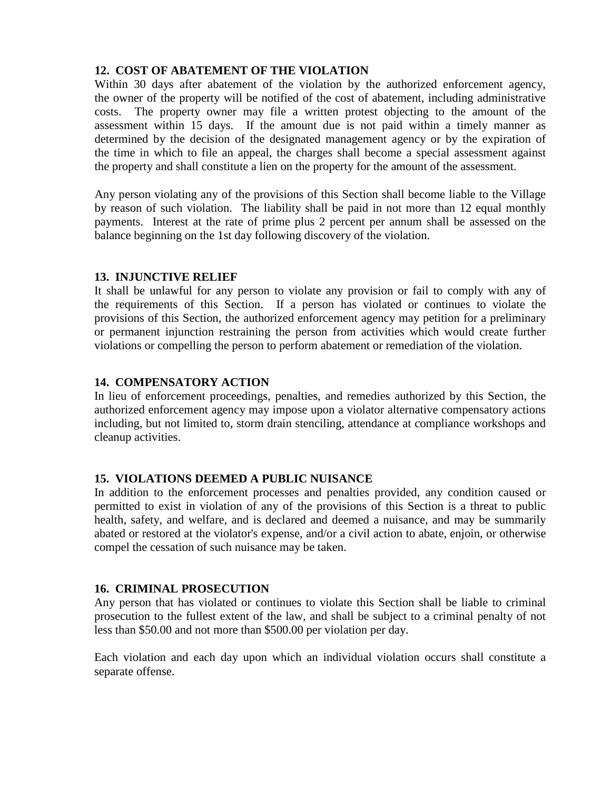### **12. COST OF ABATEMENT OF THE VIOLATION**

Within 30 days after abatement of the violation by the authorized enforcement agency, the owner of the property will be notified of the cost of abatement, including administrative costs. The property owner may file a written protest objecting to the amount of the assessment within 15 days. If the amount due is not paid within a timely manner as determined by the decision of the designated management agency or by the expiration of the time in which to file an appeal, the charges shall become a special assessment against the property and shall constitute a lien on the property for the amount of the assessment.

Any person violating any of the provisions of this Section shall become liable to the Village by reason of such violation. The liability shall be paid in not more than 12 equal monthly payments. Interest at the rate of prime plus 2 percent per annum shall be assessed on the balance beginning on the 1st day following discovery of the violation.

#### **13. INJUNCTIVE RELIEF**

It shall be unlawful for any person to violate any provision or fail to comply with any of the requirements of this Section. If a person has violated or continues to violate the provisions of this Section, the authorized enforcement agency may petition for a preliminary or permanent injunction restraining the person from activities which would create further violations or compelling the person to perform abatement or remediation of the violation.

### **14. COMPENSATORY ACTION**

In lieu of enforcement proceedings, penalties, and remedies authorized by this Section, the authorized enforcement agency may impose upon a violator alternative compensatory actions including, but not limited to, storm drain stenciling, attendance at compliance workshops and cleanup activities.

#### **15. VIOLATIONS DEEMED A PUBLIC NUISANCE**

In addition to the enforcement processes and penalties provided, any condition caused or permitted to exist in violation of any of the provisions of this Section is a threat to public health, safety, and welfare, and is declared and deemed a nuisance, and may be summarily abated or restored at the violator's expense, and/or a civil action to abate, enjoin, or otherwise compel the cessation of such nuisance may be taken.

#### **16. CRIMINAL PROSECUTION**

Any person that has violated or continues to violate this Section shall be liable to criminal prosecution to the fullest extent of the law, and shall be subject to a criminal penalty of not less than \$50.00 and not more than \$500.00 per violation per day.

Each violation and each day upon which an individual violation occurs shall constitute a separate offense.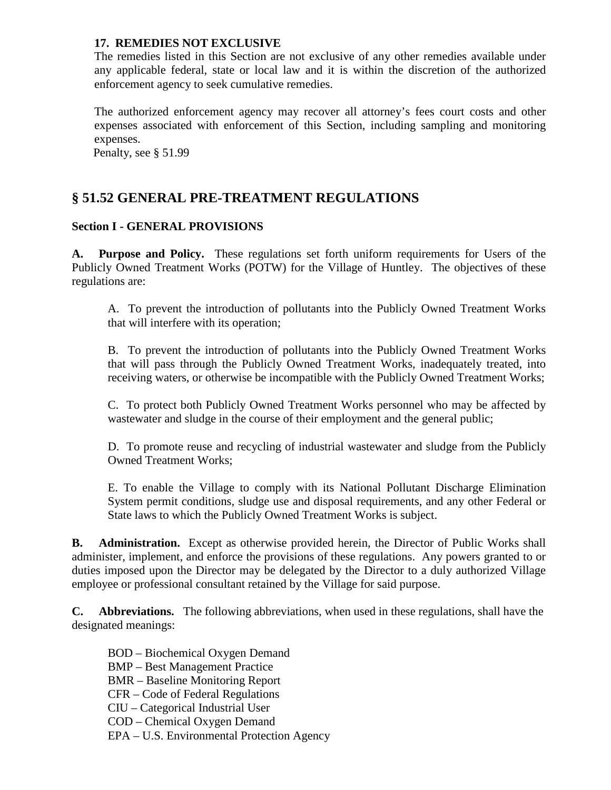#### **17. REMEDIES NOT EXCLUSIVE**

The remedies listed in this Section are not exclusive of any other remedies available under any applicable federal, state or local law and it is within the discretion of the authorized enforcement agency to seek cumulative remedies.

The authorized enforcement agency may recover all attorney's fees court costs and other expenses associated with enforcement of this Section, including sampling and monitoring expenses.

Penalty, see § 51.99

# **§ 51.52 GENERAL PRE-TREATMENT REGULATIONS**

### **Section I - GENERAL PROVISIONS**

**A. Purpose and Policy.** These regulations set forth uniform requirements for Users of the Publicly Owned Treatment Works (POTW) for the Village of Huntley. The objectives of these regulations are:

A. To prevent the introduction of pollutants into the Publicly Owned Treatment Works that will interfere with its operation;

B. To prevent the introduction of pollutants into the Publicly Owned Treatment Works that will pass through the Publicly Owned Treatment Works, inadequately treated, into receiving waters, or otherwise be incompatible with the Publicly Owned Treatment Works;

C. To protect both Publicly Owned Treatment Works personnel who may be affected by wastewater and sludge in the course of their employment and the general public;

D. To promote reuse and recycling of industrial wastewater and sludge from the Publicly Owned Treatment Works;

E. To enable the Village to comply with its National Pollutant Discharge Elimination System permit conditions, sludge use and disposal requirements, and any other Federal or State laws to which the Publicly Owned Treatment Works is subject.

**B. Administration.** Except as otherwise provided herein, the Director of Public Works shall administer, implement, and enforce the provisions of these regulations. Any powers granted to or duties imposed upon the Director may be delegated by the Director to a duly authorized Village employee or professional consultant retained by the Village for said purpose.

**C. Abbreviations.** The following abbreviations, when used in these regulations, shall have the designated meanings:

- BOD Biochemical Oxygen Demand
- BMP Best Management Practice
- BMR Baseline Monitoring Report
- CFR Code of Federal Regulations
- CIU Categorical Industrial User
- COD Chemical Oxygen Demand
- EPA U.S. Environmental Protection Agency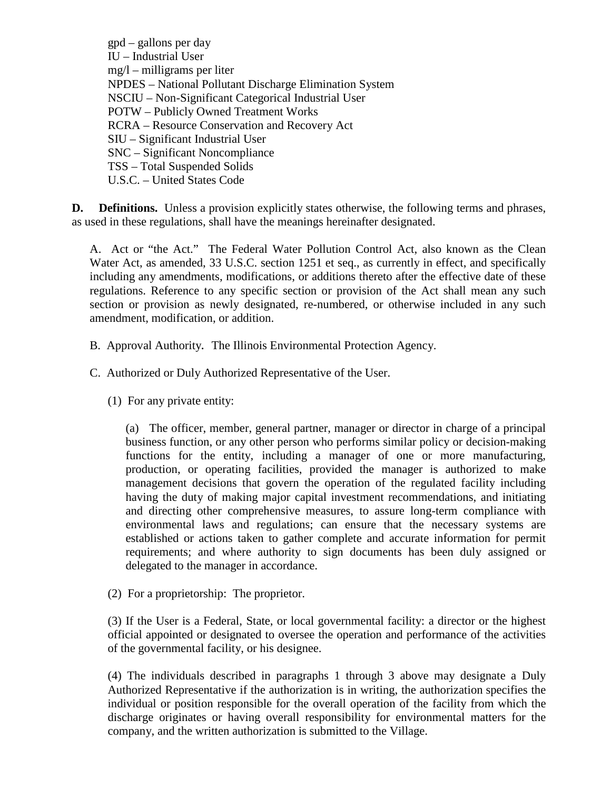gpd – gallons per day IU – Industrial User mg/l – milligrams per liter NPDES – National Pollutant Discharge Elimination System NSCIU – Non-Significant Categorical Industrial User POTW – Publicly Owned Treatment Works RCRA – Resource Conservation and Recovery Act SIU – Significant Industrial User SNC – Significant Noncompliance TSS – Total Suspended Solids U.S.C. – United States Code

**D. Definitions.** Unless a provision explicitly states otherwise, the following terms and phrases, as used in these regulations, shall have the meanings hereinafter designated.

A. Act or "the Act." The Federal Water Pollution Control Act, also known as the Clean Water Act, as amended, 33 U.S.C. section 1251 et seq., as currently in effect, and specifically including any amendments, modifications, or additions thereto after the effective date of these regulations. Reference to any specific section or provision of the Act shall mean any such section or provision as newly designated, re-numbered, or otherwise included in any such amendment, modification, or addition.

B. Approval Authority**.** The Illinois Environmental Protection Agency.

C. Authorized or Duly Authorized Representative of the User.

(1) For any private entity:

(a) The officer, member, general partner, manager or director in charge of a principal business function, or any other person who performs similar policy or decision-making functions for the entity, including a manager of one or more manufacturing, production, or operating facilities, provided the manager is authorized to make management decisions that govern the operation of the regulated facility including having the duty of making major capital investment recommendations, and initiating and directing other comprehensive measures, to assure long-term compliance with environmental laws and regulations; can ensure that the necessary systems are established or actions taken to gather complete and accurate information for permit requirements; and where authority to sign documents has been duly assigned or delegated to the manager in accordance.

(2) For a proprietorship: The proprietor.

(3) If the User is a Federal, State, or local governmental facility: a director or the highest official appointed or designated to oversee the operation and performance of the activities of the governmental facility, or his designee.

(4) The individuals described in paragraphs 1 through 3 above may designate a Duly Authorized Representative if the authorization is in writing, the authorization specifies the individual or position responsible for the overall operation of the facility from which the discharge originates or having overall responsibility for environmental matters for the company, and the written authorization is submitted to the Village.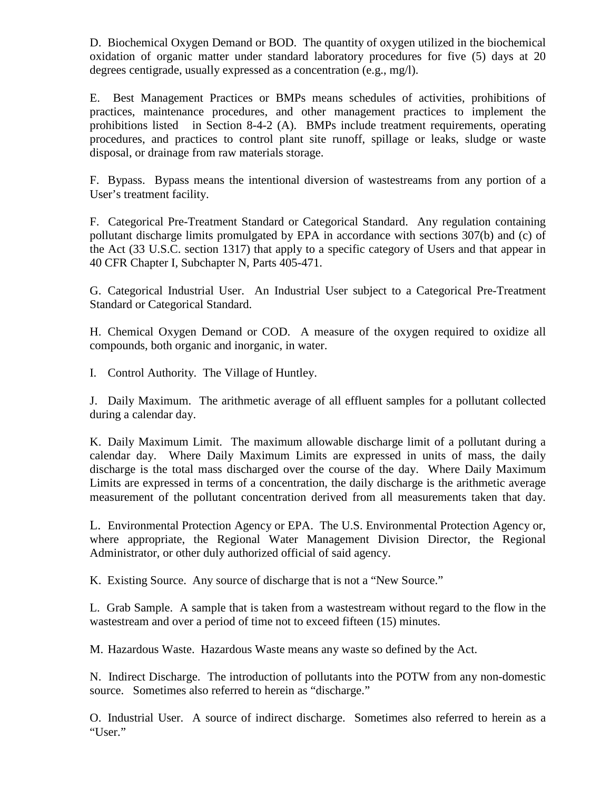D. Biochemical Oxygen Demand or BOD. The quantity of oxygen utilized in the biochemical oxidation of organic matter under standard laboratory procedures for five (5) days at 20 degrees centigrade, usually expressed as a concentration (e.g., mg/l).

E. Best Management Practices or BMPs means schedules of activities, prohibitions of practices, maintenance procedures, and other management practices to implement the prohibitions listed in Section 8-4-2 (A). BMPs include treatment requirements, operating procedures, and practices to control plant site runoff, spillage or leaks, sludge or waste disposal, or drainage from raw materials storage.

F. Bypass. Bypass means the intentional diversion of wastestreams from any portion of a User's treatment facility.

F. Categorical Pre-Treatment Standard or Categorical Standard. Any regulation containing pollutant discharge limits promulgated by EPA in accordance with sections 307(b) and (c) of the Act (33 U.S.C. section 1317) that apply to a specific category of Users and that appear in 40 CFR Chapter I, Subchapter N, Parts 405-471.

G. Categorical Industrial User. An Industrial User subject to a Categorical Pre-Treatment Standard or Categorical Standard.

H. Chemical Oxygen Demand or COD. A measure of the oxygen required to oxidize all compounds, both organic and inorganic, in water.

I. Control Authority. The Village of Huntley.

J. Daily Maximum. The arithmetic average of all effluent samples for a pollutant collected during a calendar day.

K. Daily Maximum Limit. The maximum allowable discharge limit of a pollutant during a calendar day. Where Daily Maximum Limits are expressed in units of mass, the daily discharge is the total mass discharged over the course of the day. Where Daily Maximum Limits are expressed in terms of a concentration, the daily discharge is the arithmetic average measurement of the pollutant concentration derived from all measurements taken that day.

L. Environmental Protection Agency or EPA. The U.S. Environmental Protection Agency or, where appropriate, the Regional Water Management Division Director, the Regional Administrator, or other duly authorized official of said agency.

K. Existing Source. Any source of discharge that is not a "New Source."

L. Grab Sample. A sample that is taken from a wastestream without regard to the flow in the wastestream and over a period of time not to exceed fifteen (15) minutes.

M. Hazardous Waste. Hazardous Waste means any waste so defined by the Act.

N. Indirect Discharge. The introduction of pollutants into the POTW from any non-domestic source. Sometimes also referred to herein as "discharge."

O. Industrial User. A source of indirect discharge. Sometimes also referred to herein as a "User."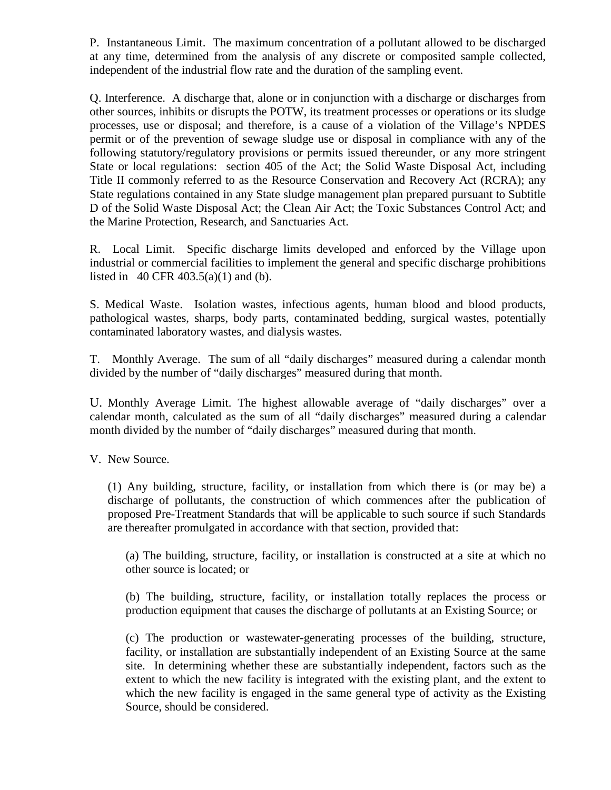P. Instantaneous Limit. The maximum concentration of a pollutant allowed to be discharged at any time, determined from the analysis of any discrete or composited sample collected, independent of the industrial flow rate and the duration of the sampling event.

Q. Interference. A discharge that, alone or in conjunction with a discharge or discharges from other sources, inhibits or disrupts the POTW, its treatment processes or operations or its sludge processes, use or disposal; and therefore, is a cause of a violation of the Village's NPDES permit or of the prevention of sewage sludge use or disposal in compliance with any of the following statutory/regulatory provisions or permits issued thereunder, or any more stringent State or local regulations: section 405 of the Act; the Solid Waste Disposal Act, including Title II commonly referred to as the Resource Conservation and Recovery Act (RCRA); any State regulations contained in any State sludge management plan prepared pursuant to Subtitle D of the Solid Waste Disposal Act; the Clean Air Act; the Toxic Substances Control Act; and the Marine Protection, Research, and Sanctuaries Act.

R. Local Limit. Specific discharge limits developed and enforced by the Village upon industrial or commercial facilities to implement the general and specific discharge prohibitions listed in 40 CFR 403.5(a)(1) and (b).

S. Medical Waste. Isolation wastes, infectious agents, human blood and blood products, pathological wastes, sharps, body parts, contaminated bedding, surgical wastes, potentially contaminated laboratory wastes, and dialysis wastes.

T. Monthly Average. The sum of all "daily discharges" measured during a calendar month divided by the number of "daily discharges" measured during that month.

U. Monthly Average Limit. The highest allowable average of "daily discharges" over a calendar month, calculated as the sum of all "daily discharges" measured during a calendar month divided by the number of "daily discharges" measured during that month.

V. New Source.

(1) Any building, structure, facility, or installation from which there is (or may be) a discharge of pollutants, the construction of which commences after the publication of proposed Pre-Treatment Standards that will be applicable to such source if such Standards are thereafter promulgated in accordance with that section, provided that:

(a) The building, structure, facility, or installation is constructed at a site at which no other source is located; or

(b) The building, structure, facility, or installation totally replaces the process or production equipment that causes the discharge of pollutants at an Existing Source; or

(c) The production or wastewater-generating processes of the building, structure, facility, or installation are substantially independent of an Existing Source at the same site. In determining whether these are substantially independent, factors such as the extent to which the new facility is integrated with the existing plant, and the extent to which the new facility is engaged in the same general type of activity as the Existing Source, should be considered.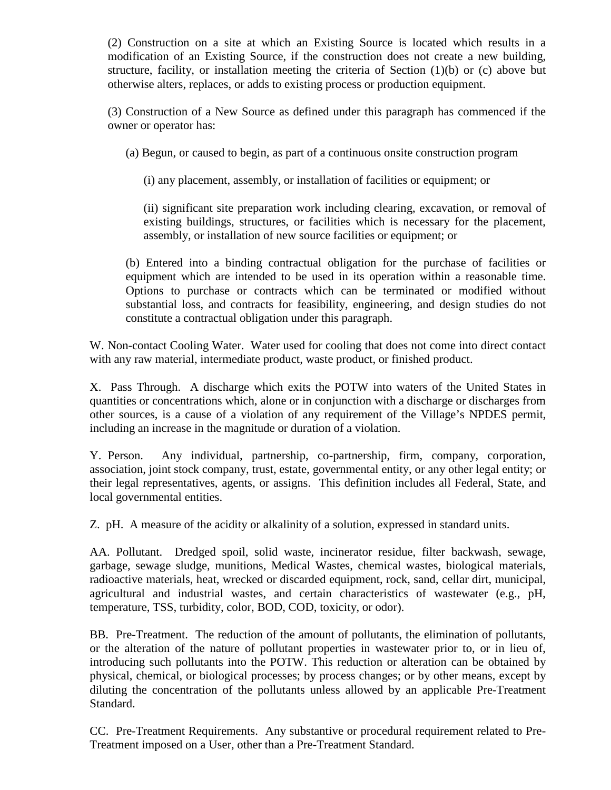(2) Construction on a site at which an Existing Source is located which results in a modification of an Existing Source, if the construction does not create a new building, structure, facility, or installation meeting the criteria of Section  $(1)(b)$  or  $(c)$  above but otherwise alters, replaces, or adds to existing process or production equipment.

(3) Construction of a New Source as defined under this paragraph has commenced if the owner or operator has:

(a) Begun, or caused to begin, as part of a continuous onsite construction program

(i) any placement, assembly, or installation of facilities or equipment; or

(ii) significant site preparation work including clearing, excavation, or removal of existing buildings, structures, or facilities which is necessary for the placement, assembly, or installation of new source facilities or equipment; or

(b) Entered into a binding contractual obligation for the purchase of facilities or equipment which are intended to be used in its operation within a reasonable time. Options to purchase or contracts which can be terminated or modified without substantial loss, and contracts for feasibility, engineering, and design studies do not constitute a contractual obligation under this paragraph.

W. Non-contact Cooling Water. Water used for cooling that does not come into direct contact with any raw material, intermediate product, waste product, or finished product.

X. Pass Through. A discharge which exits the POTW into waters of the United States in quantities or concentrations which, alone or in conjunction with a discharge or discharges from other sources, is a cause of a violation of any requirement of the Village's NPDES permit, including an increase in the magnitude or duration of a violation.

Y. Person. Any individual, partnership, co-partnership, firm, company, corporation, association, joint stock company, trust, estate, governmental entity, or any other legal entity; or their legal representatives, agents, or assigns. This definition includes all Federal, State, and local governmental entities.

Z. pH. A measure of the acidity or alkalinity of a solution, expressed in standard units.

AA. Pollutant. Dredged spoil, solid waste, incinerator residue, filter backwash, sewage, garbage, sewage sludge, munitions, Medical Wastes, chemical wastes, biological materials, radioactive materials, heat, wrecked or discarded equipment, rock, sand, cellar dirt, municipal, agricultural and industrial wastes, and certain characteristics of wastewater (e.g., pH, temperature, TSS, turbidity, color, BOD, COD, toxicity, or odor).

BB. Pre-Treatment. The reduction of the amount of pollutants, the elimination of pollutants, or the alteration of the nature of pollutant properties in wastewater prior to, or in lieu of, introducing such pollutants into the POTW. This reduction or alteration can be obtained by physical, chemical, or biological processes; by process changes; or by other means, except by diluting the concentration of the pollutants unless allowed by an applicable Pre-Treatment Standard.

CC. Pre-Treatment Requirements. Any substantive or procedural requirement related to Pre-Treatment imposed on a User, other than a Pre-Treatment Standard.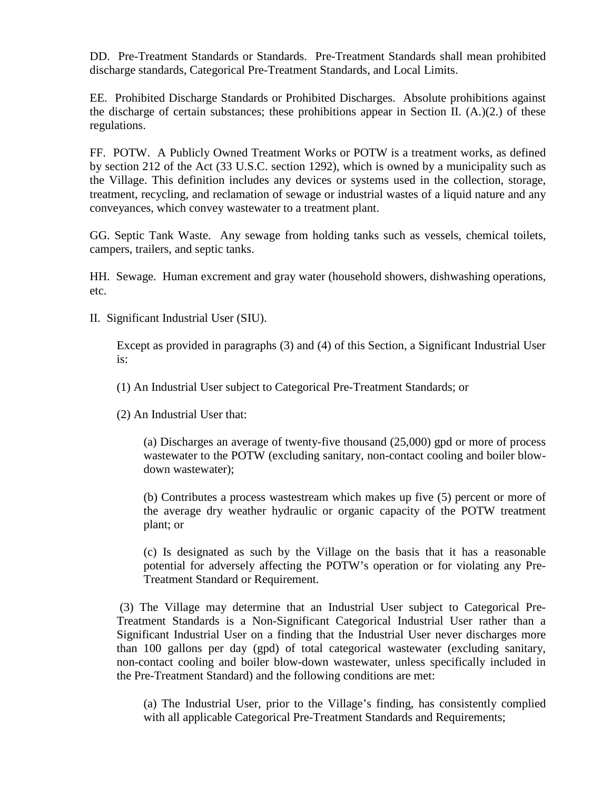DD. Pre-Treatment Standards or Standards. Pre-Treatment Standards shall mean prohibited discharge standards, Categorical Pre-Treatment Standards, and Local Limits.

EE. Prohibited Discharge Standards or Prohibited Discharges. Absolute prohibitions against the discharge of certain substances; these prohibitions appear in Section II.  $(A)(2)$  of these regulations.

FF. POTW. A Publicly Owned Treatment Works or POTW is a treatment works, as defined by section 212 of the Act (33 U.S.C. section 1292), which is owned by a municipality such as the Village. This definition includes any devices or systems used in the collection, storage, treatment, recycling, and reclamation of sewage or industrial wastes of a liquid nature and any conveyances, which convey wastewater to a treatment plant.

GG. Septic Tank Waste. Any sewage from holding tanks such as vessels, chemical toilets, campers, trailers, and septic tanks.

HH. Sewage. Human excrement and gray water (household showers, dishwashing operations, etc.

II. Significant Industrial User (SIU).

Except as provided in paragraphs (3) and (4) of this Section, a Significant Industrial User is:

(1) An Industrial User subject to Categorical Pre-Treatment Standards; or

(2) An Industrial User that:

(a) Discharges an average of twenty-five thousand (25,000) gpd or more of process wastewater to the POTW (excluding sanitary, non-contact cooling and boiler blowdown wastewater);

(b) Contributes a process wastestream which makes up five (5) percent or more of the average dry weather hydraulic or organic capacity of the POTW treatment plant; or

(c) Is designated as such by the Village on the basis that it has a reasonable potential for adversely affecting the POTW's operation or for violating any Pre-Treatment Standard or Requirement.

(3) The Village may determine that an Industrial User subject to Categorical Pre-Treatment Standards is a Non-Significant Categorical Industrial User rather than a Significant Industrial User on a finding that the Industrial User never discharges more than 100 gallons per day (gpd) of total categorical wastewater (excluding sanitary, non-contact cooling and boiler blow-down wastewater, unless specifically included in the Pre-Treatment Standard) and the following conditions are met:

(a) The Industrial User, prior to the Village's finding, has consistently complied with all applicable Categorical Pre-Treatment Standards and Requirements;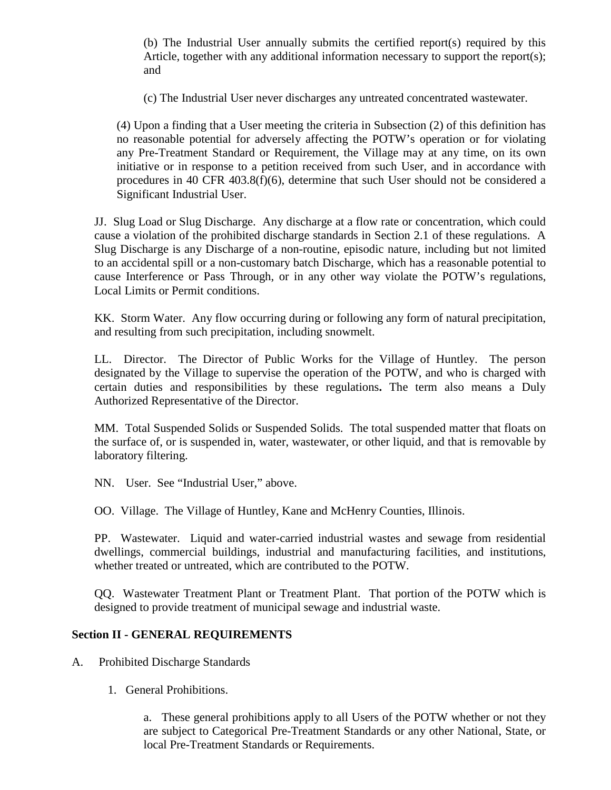(b) The Industrial User annually submits the certified report(s) required by this Article, together with any additional information necessary to support the report(s); and

(c) The Industrial User never discharges any untreated concentrated wastewater.

(4) Upon a finding that a User meeting the criteria in Subsection (2) of this definition has no reasonable potential for adversely affecting the POTW's operation or for violating any Pre-Treatment Standard or Requirement, the Village may at any time, on its own initiative or in response to a petition received from such User, and in accordance with procedures in 40 CFR 403.8(f)(6), determine that such User should not be considered a Significant Industrial User.

JJ. Slug Load or Slug Discharge. Any discharge at a flow rate or concentration, which could cause a violation of the prohibited discharge standards in Section 2.1 of these regulations. A Slug Discharge is any Discharge of a non-routine, episodic nature, including but not limited to an accidental spill or a non-customary batch Discharge, which has a reasonable potential to cause Interference or Pass Through, or in any other way violate the POTW's regulations, Local Limits or Permit conditions.

KK. Storm Water. Any flow occurring during or following any form of natural precipitation, and resulting from such precipitation, including snowmelt.

LL. Director. The Director of Public Works for the Village of Huntley. The person designated by the Village to supervise the operation of the POTW, and who is charged with certain duties and responsibilities by these regulations**.** The term also means a Duly Authorized Representative of the Director.

MM. Total Suspended Solids or Suspended Solids. The total suspended matter that floats on the surface of, or is suspended in, water, wastewater, or other liquid, and that is removable by laboratory filtering.

NN. User. See "Industrial User," above.

OO. Village. The Village of Huntley, Kane and McHenry Counties, Illinois.

PP. Wastewater. Liquid and water-carried industrial wastes and sewage from residential dwellings, commercial buildings, industrial and manufacturing facilities, and institutions, whether treated or untreated, which are contributed to the POTW.

QQ. Wastewater Treatment Plant or Treatment Plant. That portion of the POTW which is designed to provide treatment of municipal sewage and industrial waste.

#### **Section II - GENERAL REQUIREMENTS**

A. Prohibited Discharge Standards

1. General Prohibitions.

a. These general prohibitions apply to all Users of the POTW whether or not they are subject to Categorical Pre-Treatment Standards or any other National, State, or local Pre-Treatment Standards or Requirements.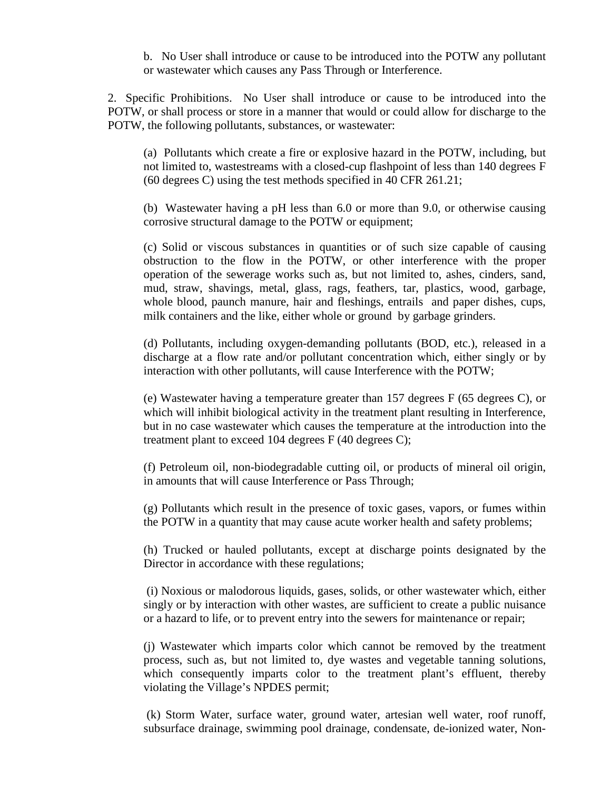b. No User shall introduce or cause to be introduced into the POTW any pollutant or wastewater which causes any Pass Through or Interference.

2. Specific Prohibitions. No User shall introduce or cause to be introduced into the POTW, or shall process or store in a manner that would or could allow for discharge to the POTW, the following pollutants, substances, or wastewater:

(a) Pollutants which create a fire or explosive hazard in the POTW, including, but not limited to, wastestreams with a closed-cup flashpoint of less than 140 degrees F (60 degrees C) using the test methods specified in 40 CFR 261.21;

(b) Wastewater having a pH less than 6.0 or more than 9.0, or otherwise causing corrosive structural damage to the POTW or equipment;

(c) Solid or viscous substances in quantities or of such size capable of causing obstruction to the flow in the POTW, or other interference with the proper operation of the sewerage works such as, but not limited to, ashes, cinders, sand, mud, straw, shavings, metal, glass, rags, feathers, tar, plastics, wood, garbage, whole blood, paunch manure, hair and fleshings, entrails and paper dishes, cups, milk containers and the like, either whole or ground by garbage grinders.

(d) Pollutants, including oxygen-demanding pollutants (BOD, etc.), released in a discharge at a flow rate and/or pollutant concentration which, either singly or by interaction with other pollutants, will cause Interference with the POTW;

(e) Wastewater having a temperature greater than 157 degrees F (65 degrees C), or which will inhibit biological activity in the treatment plant resulting in Interference, but in no case wastewater which causes the temperature at the introduction into the treatment plant to exceed 104 degrees F (40 degrees C);

(f) Petroleum oil, non-biodegradable cutting oil, or products of mineral oil origin, in amounts that will cause Interference or Pass Through;

(g) Pollutants which result in the presence of toxic gases, vapors, or fumes within the POTW in a quantity that may cause acute worker health and safety problems;

(h) Trucked or hauled pollutants, except at discharge points designated by the Director in accordance with these regulations;

(i) Noxious or malodorous liquids, gases, solids, or other wastewater which, either singly or by interaction with other wastes, are sufficient to create a public nuisance or a hazard to life, or to prevent entry into the sewers for maintenance or repair;

(j) Wastewater which imparts color which cannot be removed by the treatment process, such as, but not limited to, dye wastes and vegetable tanning solutions, which consequently imparts color to the treatment plant's effluent, thereby violating the Village's NPDES permit;

(k) Storm Water, surface water, ground water, artesian well water, roof runoff, subsurface drainage, swimming pool drainage, condensate, de-ionized water, Non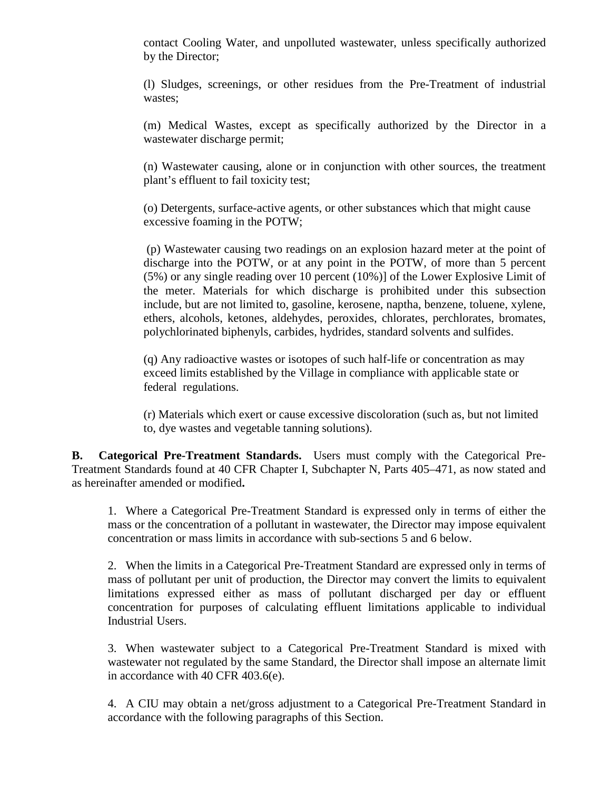contact Cooling Water, and unpolluted wastewater, unless specifically authorized by the Director;

(l) Sludges, screenings, or other residues from the Pre-Treatment of industrial wastes;

(m) Medical Wastes, except as specifically authorized by the Director in a wastewater discharge permit;

(n) Wastewater causing, alone or in conjunction with other sources, the treatment plant's effluent to fail toxicity test;

(o) Detergents, surface-active agents, or other substances which that might cause excessive foaming in the POTW;

(p) Wastewater causing two readings on an explosion hazard meter at the point of discharge into the POTW, or at any point in the POTW, of more than 5 percent (5%) or any single reading over 10 percent (10%)] of the Lower Explosive Limit of the meter. Materials for which discharge is prohibited under this subsection include, but are not limited to, gasoline, kerosene, naptha, benzene, toluene, xylene, ethers, alcohols, ketones, aldehydes, peroxides, chlorates, perchlorates, bromates, polychlorinated biphenyls, carbides, hydrides, standard solvents and sulfides.

(q) Any radioactive wastes or isotopes of such half-life or concentration as may exceed limits established by the Village in compliance with applicable state or federal regulations.

(r) Materials which exert or cause excessive discoloration (such as, but not limited to, dye wastes and vegetable tanning solutions).

**B. Categorical Pre-Treatment Standards.** Users must comply with the Categorical Pre-Treatment Standards found at 40 CFR Chapter I, Subchapter N, Parts 405–471, as now stated and as hereinafter amended or modified**.** 

1. Where a Categorical Pre-Treatment Standard is expressed only in terms of either the mass or the concentration of a pollutant in wastewater, the Director may impose equivalent concentration or mass limits in accordance with sub-sections 5 and 6 below.

2. When the limits in a Categorical Pre-Treatment Standard are expressed only in terms of mass of pollutant per unit of production, the Director may convert the limits to equivalent limitations expressed either as mass of pollutant discharged per day or effluent concentration for purposes of calculating effluent limitations applicable to individual Industrial Users.

3. When wastewater subject to a Categorical Pre-Treatment Standard is mixed with wastewater not regulated by the same Standard, the Director shall impose an alternate limit in accordance with 40 CFR 403.6(e).

4. A CIU may obtain a net/gross adjustment to a Categorical Pre-Treatment Standard in accordance with the following paragraphs of this Section.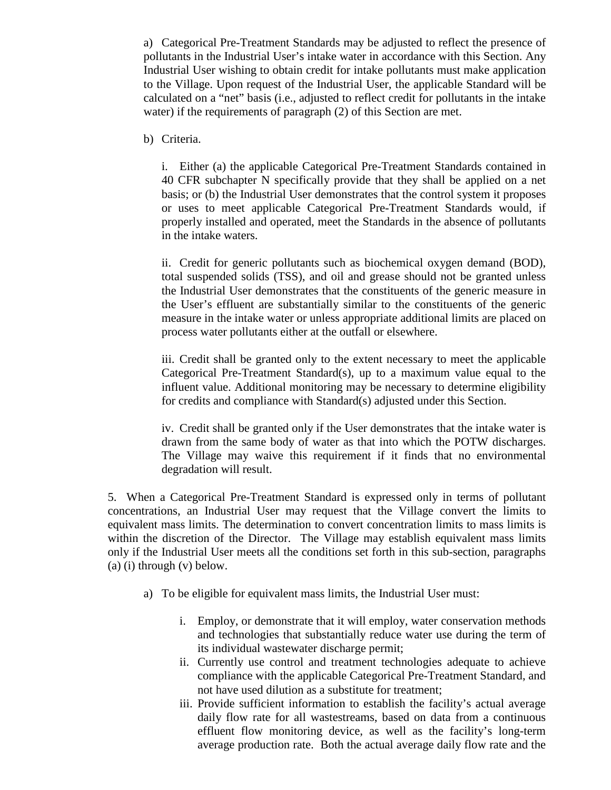a) Categorical Pre-Treatment Standards may be adjusted to reflect the presence of pollutants in the Industrial User's intake water in accordance with this Section. Any Industrial User wishing to obtain credit for intake pollutants must make application to the Village. Upon request of the Industrial User, the applicable Standard will be calculated on a "net" basis (i.e., adjusted to reflect credit for pollutants in the intake water) if the requirements of paragraph (2) of this Section are met.

b) Criteria.

i. Either (a) the applicable Categorical Pre-Treatment Standards contained in 40 CFR subchapter N specifically provide that they shall be applied on a net basis; or (b) the Industrial User demonstrates that the control system it proposes or uses to meet applicable Categorical Pre-Treatment Standards would, if properly installed and operated, meet the Standards in the absence of pollutants in the intake waters.

ii. Credit for generic pollutants such as biochemical oxygen demand (BOD), total suspended solids (TSS), and oil and grease should not be granted unless the Industrial User demonstrates that the constituents of the generic measure in the User's effluent are substantially similar to the constituents of the generic measure in the intake water or unless appropriate additional limits are placed on process water pollutants either at the outfall or elsewhere.

iii. Credit shall be granted only to the extent necessary to meet the applicable Categorical Pre-Treatment Standard(s), up to a maximum value equal to the influent value. Additional monitoring may be necessary to determine eligibility for credits and compliance with Standard(s) adjusted under this Section.

iv. Credit shall be granted only if the User demonstrates that the intake water is drawn from the same body of water as that into which the POTW discharges. The Village may waive this requirement if it finds that no environmental degradation will result.

5. When a Categorical Pre-Treatment Standard is expressed only in terms of pollutant concentrations, an Industrial User may request that the Village convert the limits to equivalent mass limits. The determination to convert concentration limits to mass limits is within the discretion of the Director. The Village may establish equivalent mass limits only if the Industrial User meets all the conditions set forth in this sub-section, paragraphs (a) (i) through (v) below.

- a) To be eligible for equivalent mass limits, the Industrial User must:
	- i. Employ, or demonstrate that it will employ, water conservation methods and technologies that substantially reduce water use during the term of its individual wastewater discharge permit;
	- ii. Currently use control and treatment technologies adequate to achieve compliance with the applicable Categorical Pre-Treatment Standard, and not have used dilution as a substitute for treatment;
	- iii. Provide sufficient information to establish the facility's actual average daily flow rate for all wastestreams, based on data from a continuous effluent flow monitoring device, as well as the facility's long-term average production rate. Both the actual average daily flow rate and the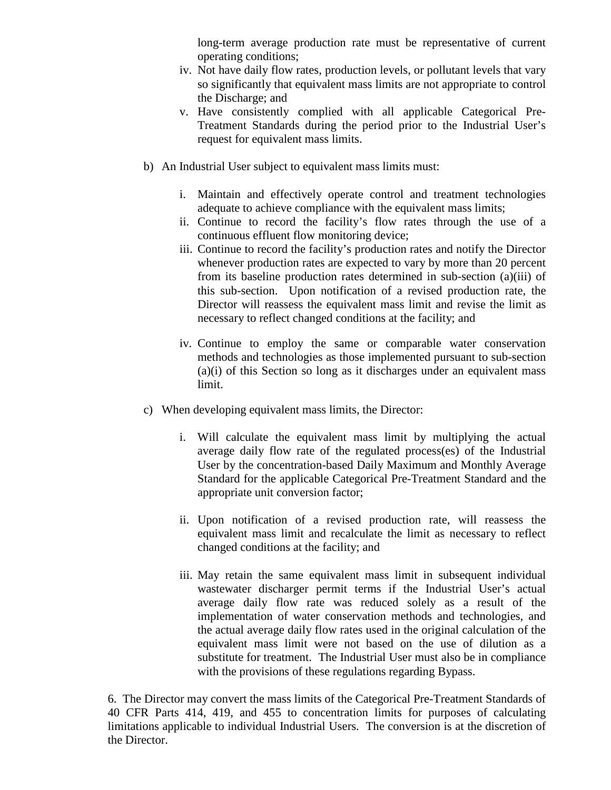long-term average production rate must be representative of current operating conditions;

- iv. Not have daily flow rates, production levels, or pollutant levels that vary so significantly that equivalent mass limits are not appropriate to control the Discharge; and
- v. Have consistently complied with all applicable Categorical Pre-Treatment Standards during the period prior to the Industrial User's request for equivalent mass limits.
- b) An Industrial User subject to equivalent mass limits must:
	- i. Maintain and effectively operate control and treatment technologies adequate to achieve compliance with the equivalent mass limits;
	- ii. Continue to record the facility's flow rates through the use of a continuous effluent flow monitoring device;
	- iii. Continue to record the facility's production rates and notify the Director whenever production rates are expected to vary by more than 20 percent from its baseline production rates determined in sub-section (a)(iii) of this sub-section. Upon notification of a revised production rate, the Director will reassess the equivalent mass limit and revise the limit as necessary to reflect changed conditions at the facility; and
	- iv. Continue to employ the same or comparable water conservation methods and technologies as those implemented pursuant to sub-section (a)(i) of this Section so long as it discharges under an equivalent mass limit.
- c) When developing equivalent mass limits, the Director:
	- i. Will calculate the equivalent mass limit by multiplying the actual average daily flow rate of the regulated process(es) of the Industrial User by the concentration-based Daily Maximum and Monthly Average Standard for the applicable Categorical Pre-Treatment Standard and the appropriate unit conversion factor;
	- ii. Upon notification of a revised production rate, will reassess the equivalent mass limit and recalculate the limit as necessary to reflect changed conditions at the facility; and
	- iii. May retain the same equivalent mass limit in subsequent individual wastewater discharger permit terms if the Industrial User's actual average daily flow rate was reduced solely as a result of the implementation of water conservation methods and technologies, and the actual average daily flow rates used in the original calculation of the equivalent mass limit were not based on the use of dilution as a substitute for treatment. The Industrial User must also be in compliance with the provisions of these regulations regarding Bypass.

6. The Director may convert the mass limits of the Categorical Pre-Treatment Standards of 40 CFR Parts 414, 419, and 455 to concentration limits for purposes of calculating limitations applicable to individual Industrial Users. The conversion is at the discretion of the Director.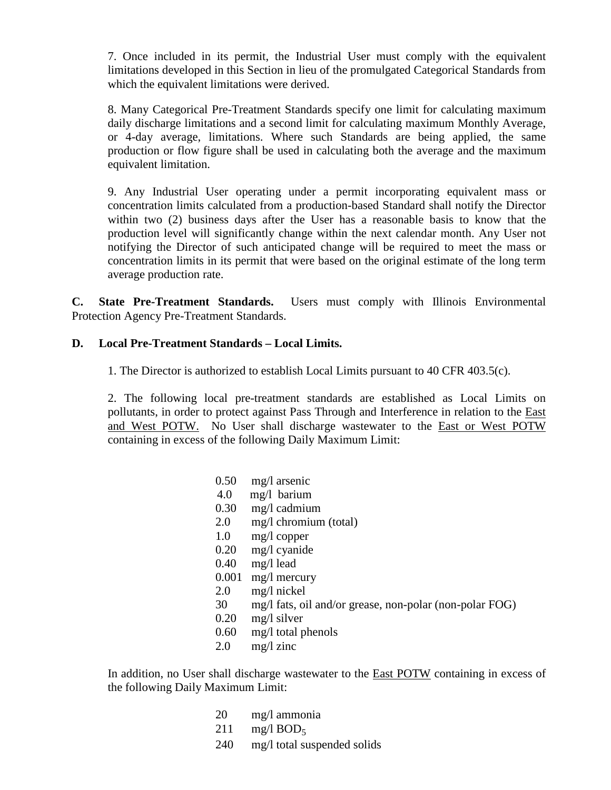7. Once included in its permit, the Industrial User must comply with the equivalent limitations developed in this Section in lieu of the promulgated Categorical Standards from which the equivalent limitations were derived.

8. Many Categorical Pre-Treatment Standards specify one limit for calculating maximum daily discharge limitations and a second limit for calculating maximum Monthly Average, or 4-day average, limitations. Where such Standards are being applied, the same production or flow figure shall be used in calculating both the average and the maximum equivalent limitation.

9. Any Industrial User operating under a permit incorporating equivalent mass or concentration limits calculated from a production-based Standard shall notify the Director within two (2) business days after the User has a reasonable basis to know that the production level will significantly change within the next calendar month. Any User not notifying the Director of such anticipated change will be required to meet the mass or concentration limits in its permit that were based on the original estimate of the long term average production rate.

**C. State Pre-Treatment Standards.** Users must comply with Illinois Environmental Protection Agency Pre-Treatment Standards.

### **D. Local Pre-Treatment Standards – Local Limits.**

1. The Director is authorized to establish Local Limits pursuant to 40 CFR 403.5(c).

2. The following local pre-treatment standards are established as Local Limits on pollutants, in order to protect against Pass Through and Interference in relation to the East and West POTW. No User shall discharge wastewater to the East or West POTW containing in excess of the following Daily Maximum Limit:

| 0.50  | mg/l arsenic                                            |
|-------|---------------------------------------------------------|
| 4.0   | mg/l barium                                             |
| 0.30  | mg/l cadmium                                            |
| 2.0   | mg/l chromium (total)                                   |
| 1.0   | $mg/l$ copper                                           |
| 0.20  | mg/l cyanide                                            |
| 0.40  | $mg/l$ lead                                             |
| 0.001 | $mg/l$ mercury                                          |
| 2.0   | $mg/l$ nickel                                           |
| 30    | mg/l fats, oil and/or grease, non-polar (non-polar FOG) |
| 0.20  | mg/l silver                                             |
| 0.60  | mg/l total phenols                                      |
| 2.0   | $mg/l$ zinc                                             |
|       |                                                         |

In addition, no User shall discharge wastewater to the **East POTW** containing in excess of the following Daily Maximum Limit:

- 20 mg/l ammonia
- 211 mg/l  $BOD<sub>5</sub>$
- 240 mg/l total suspended solids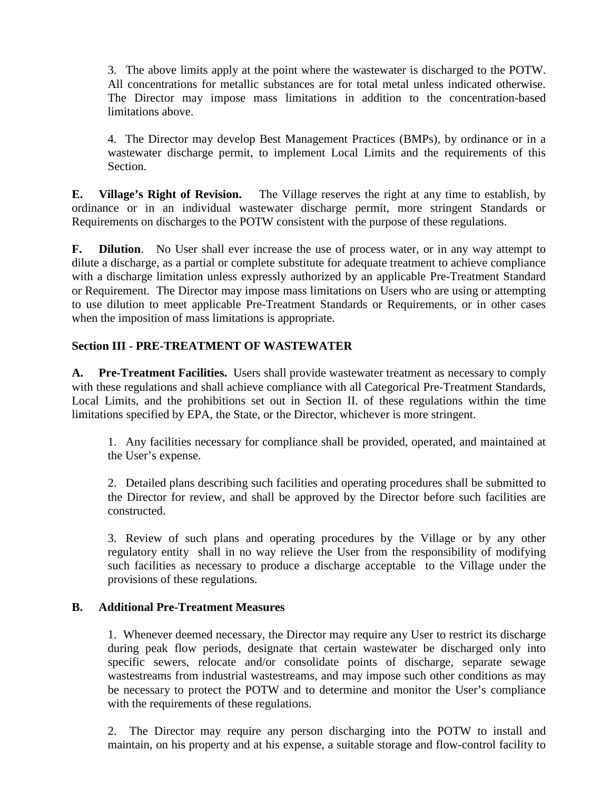3. The above limits apply at the point where the wastewater is discharged to the POTW. All concentrations for metallic substances are for total metal unless indicated otherwise. The Director may impose mass limitations in addition to the concentration-based limitations above.

4. The Director may develop Best Management Practices (BMPs), by ordinance or in a wastewater discharge permit, to implement Local Limits and the requirements of this Section.

**E. Village's Right of Revision.** The Village reserves the right at any time to establish, by ordinance or in an individual wastewater discharge permit, more stringent Standards or Requirements on discharges to the POTW consistent with the purpose of these regulations.

**F. Dilution**. No User shall ever increase the use of process water, or in any way attempt to dilute a discharge, as a partial or complete substitute for adequate treatment to achieve compliance with a discharge limitation unless expressly authorized by an applicable Pre-Treatment Standard or Requirement. The Director may impose mass limitations on Users who are using or attempting to use dilution to meet applicable Pre-Treatment Standards or Requirements, or in other cases when the imposition of mass limitations is appropriate.

### **Section III - PRE-TREATMENT OF WASTEWATER**

**A. Pre-Treatment Facilities.** Users shall provide wastewater treatment as necessary to comply with these regulations and shall achieve compliance with all Categorical Pre-Treatment Standards, Local Limits, and the prohibitions set out in Section II. of these regulations within the time limitations specified by EPA, the State, or the Director, whichever is more stringent.

1. Any facilities necessary for compliance shall be provided, operated, and maintained at the User's expense.

2. Detailed plans describing such facilities and operating procedures shall be submitted to the Director for review, and shall be approved by the Director before such facilities are constructed.

3. Review of such plans and operating procedures by the Village or by any other regulatory entity shall in no way relieve the User from the responsibility of modifying such facilities as necessary to produce a discharge acceptable to the Village under the provisions of these regulations.

### **B. Additional Pre-Treatment Measures**

1. Whenever deemed necessary, the Director may require any User to restrict its discharge during peak flow periods, designate that certain wastewater be discharged only into specific sewers, relocate and/or consolidate points of discharge, separate sewage wastestreams from industrial wastestreams, and may impose such other conditions as may be necessary to protect the POTW and to determine and monitor the User's compliance with the requirements of these regulations.

2. The Director may require any person discharging into the POTW to install and maintain, on his property and at his expense, a suitable storage and flow-control facility to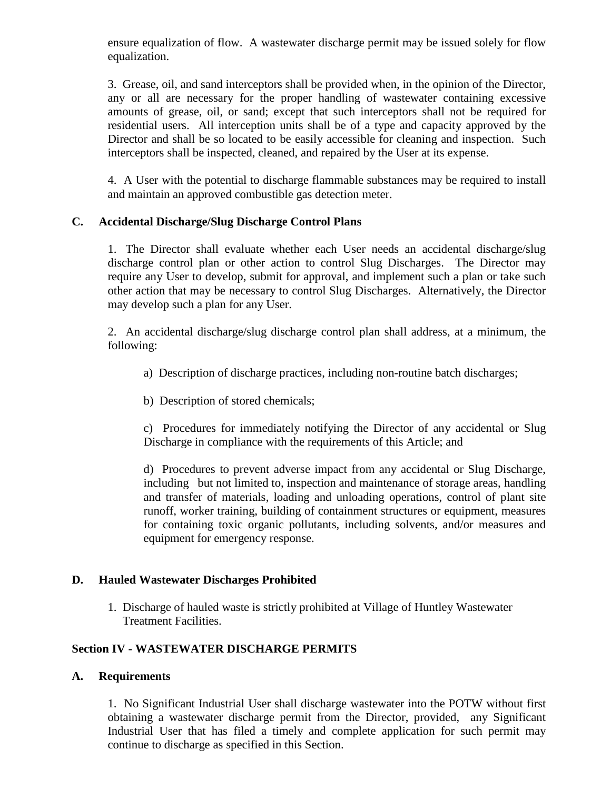ensure equalization of flow. A wastewater discharge permit may be issued solely for flow equalization.

3. Grease, oil, and sand interceptors shall be provided when, in the opinion of the Director, any or all are necessary for the proper handling of wastewater containing excessive amounts of grease, oil, or sand; except that such interceptors shall not be required for residential users. All interception units shall be of a type and capacity approved by the Director and shall be so located to be easily accessible for cleaning and inspection. Such interceptors shall be inspected, cleaned, and repaired by the User at its expense.

4. A User with the potential to discharge flammable substances may be required to install and maintain an approved combustible gas detection meter.

### **C. Accidental Discharge/Slug Discharge Control Plans**

1. The Director shall evaluate whether each User needs an accidental discharge/slug discharge control plan or other action to control Slug Discharges. The Director may require any User to develop, submit for approval, and implement such a plan or take such other action that may be necessary to control Slug Discharges. Alternatively, the Director may develop such a plan for any User.

2. An accidental discharge/slug discharge control plan shall address, at a minimum, the following:

- a) Description of discharge practices, including non-routine batch discharges;
- b) Description of stored chemicals;

c) Procedures for immediately notifying the Director of any accidental or Slug Discharge in compliance with the requirements of this Article; and

d) Procedures to prevent adverse impact from any accidental or Slug Discharge, including but not limited to, inspection and maintenance of storage areas, handling and transfer of materials, loading and unloading operations, control of plant site runoff, worker training, building of containment structures or equipment, measures for containing toxic organic pollutants, including solvents, and/or measures and equipment for emergency response.

### **D. Hauled Wastewater Discharges Prohibited**

1. Discharge of hauled waste is strictly prohibited at Village of Huntley Wastewater Treatment Facilities.

### **Section IV - WASTEWATER DISCHARGE PERMITS**

#### **A. Requirements**

1. No Significant Industrial User shall discharge wastewater into the POTW without first obtaining a wastewater discharge permit from the Director, provided, any Significant Industrial User that has filed a timely and complete application for such permit may continue to discharge as specified in this Section.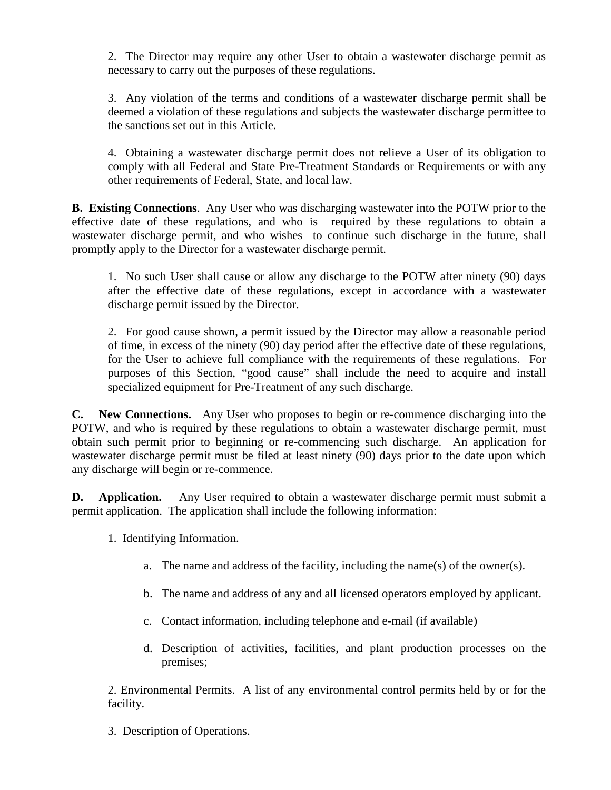2. The Director may require any other User to obtain a wastewater discharge permit as necessary to carry out the purposes of these regulations.

3. Any violation of the terms and conditions of a wastewater discharge permit shall be deemed a violation of these regulations and subjects the wastewater discharge permittee to the sanctions set out in this Article.

4. Obtaining a wastewater discharge permit does not relieve a User of its obligation to comply with all Federal and State Pre-Treatment Standards or Requirements or with any other requirements of Federal, State, and local law.

**B. Existing Connections**. Any User who was discharging wastewater into the POTW prior to the effective date of these regulations, and who is required by these regulations to obtain a wastewater discharge permit, and who wishes to continue such discharge in the future, shall promptly apply to the Director for a wastewater discharge permit.

1. No such User shall cause or allow any discharge to the POTW after ninety (90) days after the effective date of these regulations, except in accordance with a wastewater discharge permit issued by the Director.

2. For good cause shown, a permit issued by the Director may allow a reasonable period of time, in excess of the ninety (90) day period after the effective date of these regulations, for the User to achieve full compliance with the requirements of these regulations. For purposes of this Section, "good cause" shall include the need to acquire and install specialized equipment for Pre-Treatment of any such discharge.

**C. New Connections.** Any User who proposes to begin or re-commence discharging into the POTW, and who is required by these regulations to obtain a wastewater discharge permit, must obtain such permit prior to beginning or re-commencing such discharge. An application for wastewater discharge permit must be filed at least ninety (90) days prior to the date upon which any discharge will begin or re-commence.

**D. Application.** Any User required to obtain a wastewater discharge permit must submit a permit application. The application shall include the following information:

- 1. Identifying Information.
	- a. The name and address of the facility, including the name(s) of the owner(s).
	- b. The name and address of any and all licensed operators employed by applicant.
	- c. Contact information, including telephone and e-mail (if available)
	- d. Description of activities, facilities, and plant production processes on the premises;

2. Environmental Permits. A list of any environmental control permits held by or for the facility.

3. Description of Operations.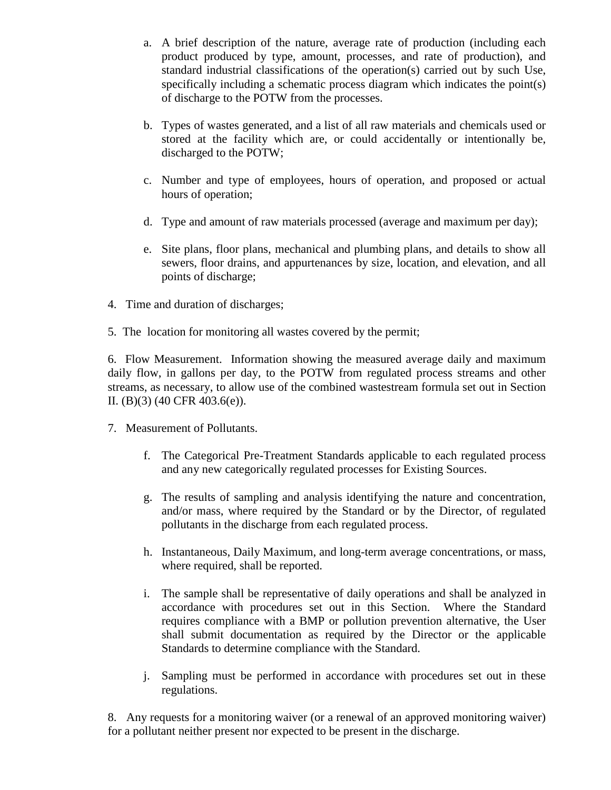- a. A brief description of the nature, average rate of production (including each product produced by type, amount, processes, and rate of production), and standard industrial classifications of the operation(s) carried out by such Use, specifically including a schematic process diagram which indicates the point(s) of discharge to the POTW from the processes.
- b. Types of wastes generated, and a list of all raw materials and chemicals used or stored at the facility which are, or could accidentally or intentionally be, discharged to the POTW;
- c. Number and type of employees, hours of operation, and proposed or actual hours of operation;
- d. Type and amount of raw materials processed (average and maximum per day);
- e. Site plans, floor plans, mechanical and plumbing plans, and details to show all sewers, floor drains, and appurtenances by size, location, and elevation, and all points of discharge;
- 4. Time and duration of discharges;
- 5. The location for monitoring all wastes covered by the permit;

6. Flow Measurement. Information showing the measured average daily and maximum daily flow, in gallons per day, to the POTW from regulated process streams and other streams, as necessary, to allow use of the combined wastestream formula set out in Section II. (B)(3) (40 CFR 403.6(e)).

- 7. Measurement of Pollutants.
	- f. The Categorical Pre-Treatment Standards applicable to each regulated process and any new categorically regulated processes for Existing Sources.
	- g. The results of sampling and analysis identifying the nature and concentration, and/or mass, where required by the Standard or by the Director, of regulated pollutants in the discharge from each regulated process.
	- h. Instantaneous, Daily Maximum, and long-term average concentrations, or mass, where required, shall be reported.
	- i. The sample shall be representative of daily operations and shall be analyzed in accordance with procedures set out in this Section. Where the Standard requires compliance with a BMP or pollution prevention alternative, the User shall submit documentation as required by the Director or the applicable Standards to determine compliance with the Standard.
	- j. Sampling must be performed in accordance with procedures set out in these regulations.

8. Any requests for a monitoring waiver (or a renewal of an approved monitoring waiver) for a pollutant neither present nor expected to be present in the discharge.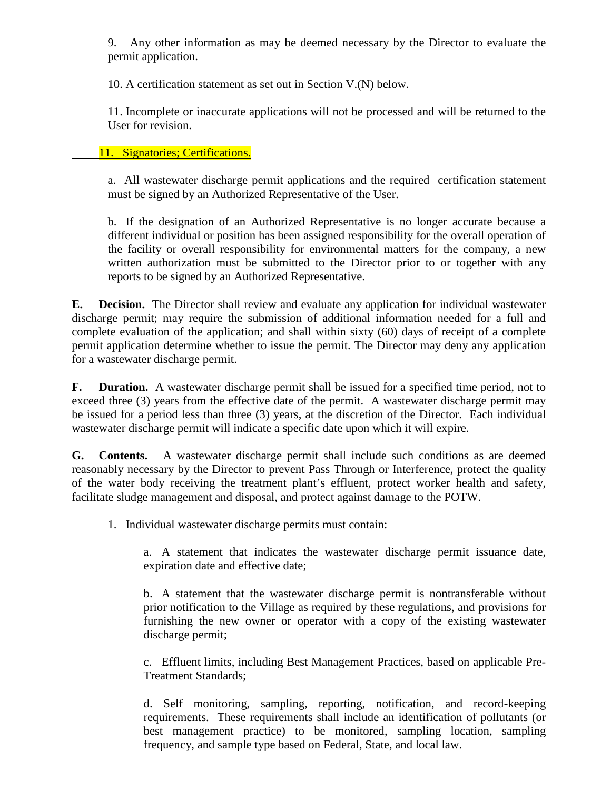9. Any other information as may be deemed necessary by the Director to evaluate the permit application.

10. A certification statement as set out in Section V.(N) below.

11. Incomplete or inaccurate applications will not be processed and will be returned to the User for revision.

### 11. Signatories; Certifications.

a. All wastewater discharge permit applications and the required certification statement must be signed by an Authorized Representative of the User.

b. If the designation of an Authorized Representative is no longer accurate because a different individual or position has been assigned responsibility for the overall operation of the facility or overall responsibility for environmental matters for the company, a new written authorization must be submitted to the Director prior to or together with any reports to be signed by an Authorized Representative.

**E. Decision.** The Director shall review and evaluate any application for individual wastewater discharge permit; may require the submission of additional information needed for a full and complete evaluation of the application; and shall within sixty (60) days of receipt of a complete permit application determine whether to issue the permit. The Director may deny any application for a wastewater discharge permit.

**F. Duration.** A wastewater discharge permit shall be issued for a specified time period, not to exceed three (3) years from the effective date of the permit. A wastewater discharge permit may be issued for a period less than three (3) years, at the discretion of the Director. Each individual wastewater discharge permit will indicate a specific date upon which it will expire.

**G. Contents.** A wastewater discharge permit shall include such conditions as are deemed reasonably necessary by the Director to prevent Pass Through or Interference, protect the quality of the water body receiving the treatment plant's effluent, protect worker health and safety, facilitate sludge management and disposal, and protect against damage to the POTW.

1. Individual wastewater discharge permits must contain:

a. A statement that indicates the wastewater discharge permit issuance date, expiration date and effective date;

b. A statement that the wastewater discharge permit is nontransferable without prior notification to the Village as required by these regulations, and provisions for furnishing the new owner or operator with a copy of the existing wastewater discharge permit;

c. Effluent limits, including Best Management Practices, based on applicable Pre-Treatment Standards;

d. Self monitoring, sampling, reporting, notification, and record-keeping requirements. These requirements shall include an identification of pollutants (or best management practice) to be monitored, sampling location, sampling frequency, and sample type based on Federal, State, and local law.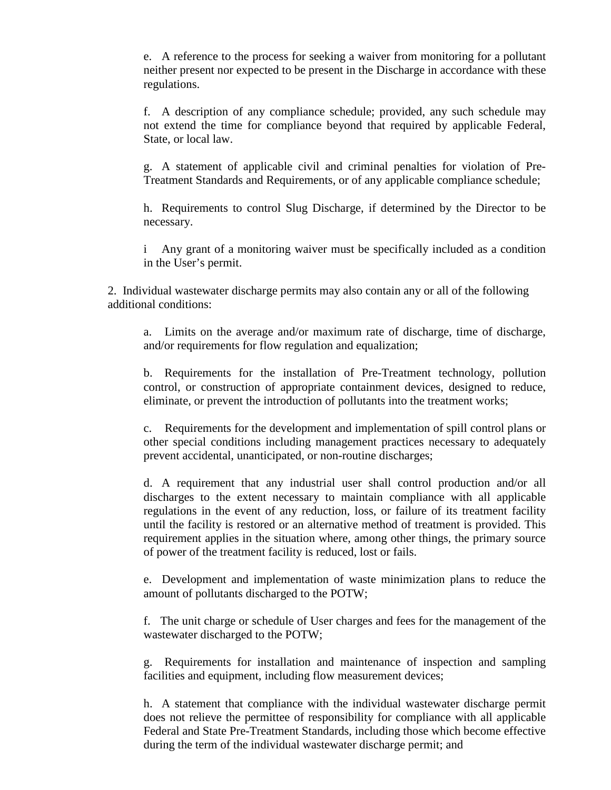e. A reference to the process for seeking a waiver from monitoring for a pollutant neither present nor expected to be present in the Discharge in accordance with these regulations.

f. A description of any compliance schedule; provided, any such schedule may not extend the time for compliance beyond that required by applicable Federal, State, or local law.

g. A statement of applicable civil and criminal penalties for violation of Pre-Treatment Standards and Requirements, or of any applicable compliance schedule;

h. Requirements to control Slug Discharge, if determined by the Director to be necessary.

i Any grant of a monitoring waiver must be specifically included as a condition in the User's permit.

2. Individual wastewater discharge permits may also contain any or all of the following additional conditions:

a. Limits on the average and/or maximum rate of discharge, time of discharge, and/or requirements for flow regulation and equalization;

b. Requirements for the installation of Pre-Treatment technology, pollution control, or construction of appropriate containment devices, designed to reduce, eliminate, or prevent the introduction of pollutants into the treatment works;

c. Requirements for the development and implementation of spill control plans or other special conditions including management practices necessary to adequately prevent accidental, unanticipated, or non-routine discharges;

d. A requirement that any industrial user shall control production and/or all discharges to the extent necessary to maintain compliance with all applicable regulations in the event of any reduction, loss, or failure of its treatment facility until the facility is restored or an alternative method of treatment is provided. This requirement applies in the situation where, among other things, the primary source of power of the treatment facility is reduced, lost or fails.

e. Development and implementation of waste minimization plans to reduce the amount of pollutants discharged to the POTW;

f. The unit charge or schedule of User charges and fees for the management of the wastewater discharged to the POTW;

g. Requirements for installation and maintenance of inspection and sampling facilities and equipment, including flow measurement devices;

h. A statement that compliance with the individual wastewater discharge permit does not relieve the permittee of responsibility for compliance with all applicable Federal and State Pre-Treatment Standards, including those which become effective during the term of the individual wastewater discharge permit; and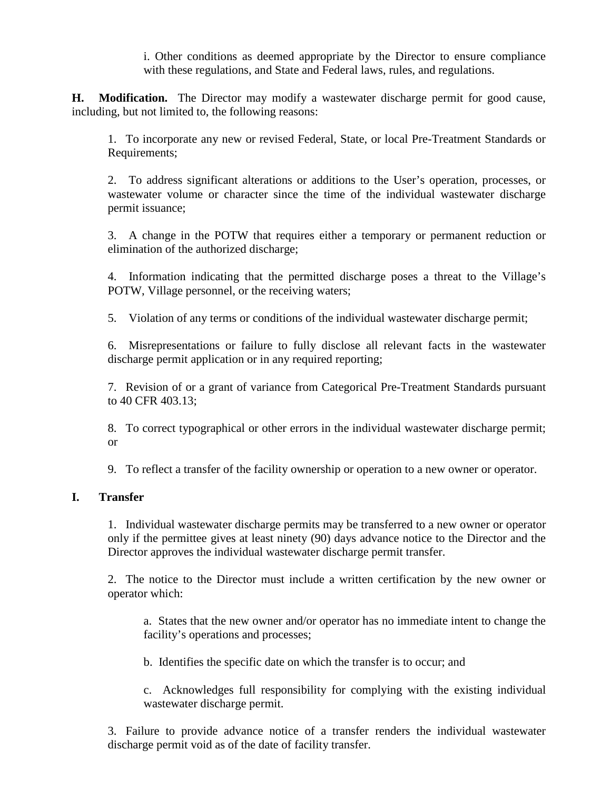i. Other conditions as deemed appropriate by the Director to ensure compliance with these regulations, and State and Federal laws, rules, and regulations.

**H. Modification.** The Director may modify a wastewater discharge permit for good cause, including, but not limited to, the following reasons:

1. To incorporate any new or revised Federal, State, or local Pre-Treatment Standards or Requirements;

2. To address significant alterations or additions to the User's operation, processes, or wastewater volume or character since the time of the individual wastewater discharge permit issuance;

3. A change in the POTW that requires either a temporary or permanent reduction or elimination of the authorized discharge;

4. Information indicating that the permitted discharge poses a threat to the Village's POTW, Village personnel, or the receiving waters;

5. Violation of any terms or conditions of the individual wastewater discharge permit;

6. Misrepresentations or failure to fully disclose all relevant facts in the wastewater discharge permit application or in any required reporting;

7. Revision of or a grant of variance from Categorical Pre-Treatment Standards pursuant to 40 CFR 403.13;

8. To correct typographical or other errors in the individual wastewater discharge permit; or

9. To reflect a transfer of the facility ownership or operation to a new owner or operator.

#### **I. Transfer**

1. Individual wastewater discharge permits may be transferred to a new owner or operator only if the permittee gives at least ninety (90) days advance notice to the Director and the Director approves the individual wastewater discharge permit transfer.

2. The notice to the Director must include a written certification by the new owner or operator which:

a. States that the new owner and/or operator has no immediate intent to change the facility's operations and processes;

b. Identifies the specific date on which the transfer is to occur; and

c. Acknowledges full responsibility for complying with the existing individual wastewater discharge permit.

3. Failure to provide advance notice of a transfer renders the individual wastewater discharge permit void as of the date of facility transfer.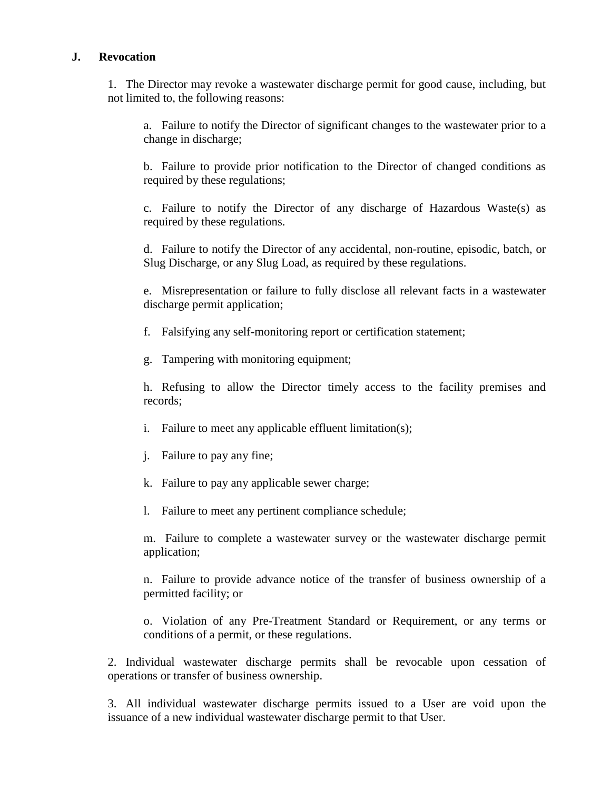#### **J. Revocation**

1. The Director may revoke a wastewater discharge permit for good cause, including, but not limited to, the following reasons:

a. Failure to notify the Director of significant changes to the wastewater prior to a change in discharge;

b. Failure to provide prior notification to the Director of changed conditions as required by these regulations;

c. Failure to notify the Director of any discharge of Hazardous Waste(s) as required by these regulations.

d. Failure to notify the Director of any accidental, non-routine, episodic, batch, or Slug Discharge, or any Slug Load, as required by these regulations.

e. Misrepresentation or failure to fully disclose all relevant facts in a wastewater discharge permit application;

- f. Falsifying any self-monitoring report or certification statement;
- g. Tampering with monitoring equipment;

h. Refusing to allow the Director timely access to the facility premises and records;

- i. Failure to meet any applicable effluent limitation(s);
- j. Failure to pay any fine;
- k. Failure to pay any applicable sewer charge;
- l. Failure to meet any pertinent compliance schedule;

m. Failure to complete a wastewater survey or the wastewater discharge permit application;

n. Failure to provide advance notice of the transfer of business ownership of a permitted facility; or

o. Violation of any Pre-Treatment Standard or Requirement, or any terms or conditions of a permit, or these regulations.

2. Individual wastewater discharge permits shall be revocable upon cessation of operations or transfer of business ownership.

3. All individual wastewater discharge permits issued to a User are void upon the issuance of a new individual wastewater discharge permit to that User.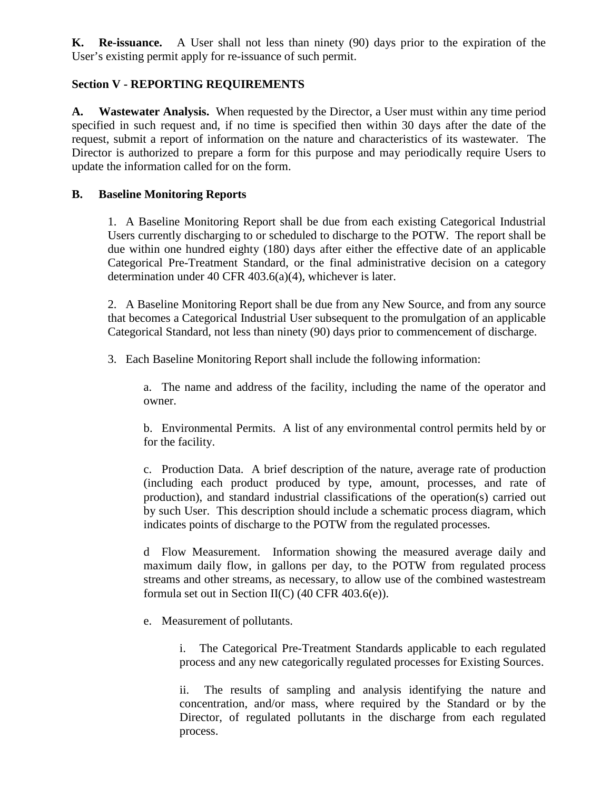**K. Re-issuance.** A User shall not less than ninety (90) days prior to the expiration of the User's existing permit apply for re-issuance of such permit.

### **Section V - REPORTING REQUIREMENTS**

**A. Wastewater Analysis.** When requested by the Director, a User must within any time period specified in such request and, if no time is specified then within 30 days after the date of the request, submit a report of information on the nature and characteristics of its wastewater. The Director is authorized to prepare a form for this purpose and may periodically require Users to update the information called for on the form.

### **B. Baseline Monitoring Reports**

1. A Baseline Monitoring Report shall be due from each existing Categorical Industrial Users currently discharging to or scheduled to discharge to the POTW. The report shall be due within one hundred eighty (180) days after either the effective date of an applicable Categorical Pre-Treatment Standard, or the final administrative decision on a category determination under 40 CFR 403.6(a)(4), whichever is later.

2. A Baseline Monitoring Report shall be due from any New Source, and from any source that becomes a Categorical Industrial User subsequent to the promulgation of an applicable Categorical Standard, not less than ninety (90) days prior to commencement of discharge.

3. Each Baseline Monitoring Report shall include the following information:

a. The name and address of the facility, including the name of the operator and owner.

b. Environmental Permits. A list of any environmental control permits held by or for the facility.

c. Production Data. A brief description of the nature, average rate of production (including each product produced by type, amount, processes, and rate of production), and standard industrial classifications of the operation(s) carried out by such User. This description should include a schematic process diagram, which indicates points of discharge to the POTW from the regulated processes.

d Flow Measurement. Information showing the measured average daily and maximum daily flow, in gallons per day, to the POTW from regulated process streams and other streams, as necessary, to allow use of the combined wastestream formula set out in Section II(C) (40 CFR 403.6(e)).

e. Measurement of pollutants.

i. The Categorical Pre-Treatment Standards applicable to each regulated process and any new categorically regulated processes for Existing Sources.

ii. The results of sampling and analysis identifying the nature and concentration, and/or mass, where required by the Standard or by the Director, of regulated pollutants in the discharge from each regulated process.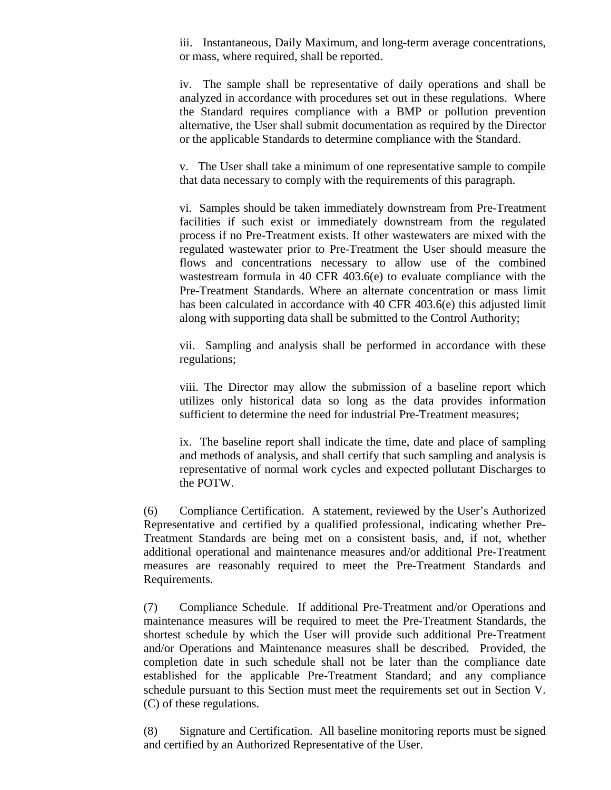iii. Instantaneous, Daily Maximum, and long-term average concentrations, or mass, where required, shall be reported.

iv. The sample shall be representative of daily operations and shall be analyzed in accordance with procedures set out in these regulations. Where the Standard requires compliance with a BMP or pollution prevention alternative, the User shall submit documentation as required by the Director or the applicable Standards to determine compliance with the Standard.

v. The User shall take a minimum of one representative sample to compile that data necessary to comply with the requirements of this paragraph.

vi. Samples should be taken immediately downstream from Pre-Treatment facilities if such exist or immediately downstream from the regulated process if no Pre-Treatment exists. If other wastewaters are mixed with the regulated wastewater prior to Pre-Treatment the User should measure the flows and concentrations necessary to allow use of the combined wastestream formula in 40 CFR 403.6(e) to evaluate compliance with the Pre-Treatment Standards. Where an alternate concentration or mass limit has been calculated in accordance with 40 CFR 403.6(e) this adjusted limit along with supporting data shall be submitted to the Control Authority;

vii. Sampling and analysis shall be performed in accordance with these regulations;

viii. The Director may allow the submission of a baseline report which utilizes only historical data so long as the data provides information sufficient to determine the need for industrial Pre-Treatment measures;

ix. The baseline report shall indicate the time, date and place of sampling and methods of analysis, and shall certify that such sampling and analysis is representative of normal work cycles and expected pollutant Discharges to the POTW.

(6) Compliance Certification. A statement, reviewed by the User's Authorized Representative and certified by a qualified professional, indicating whether Pre-Treatment Standards are being met on a consistent basis, and, if not, whether additional operational and maintenance measures and/or additional Pre-Treatment measures are reasonably required to meet the Pre-Treatment Standards and Requirements.

(7) Compliance Schedule. If additional Pre-Treatment and/or Operations and maintenance measures will be required to meet the Pre-Treatment Standards, the shortest schedule by which the User will provide such additional Pre-Treatment and/or Operations and Maintenance measures shall be described. Provided, the completion date in such schedule shall not be later than the compliance date established for the applicable Pre-Treatment Standard; and any compliance schedule pursuant to this Section must meet the requirements set out in Section V. (C) of these regulations.

(8) Signature and Certification. All baseline monitoring reports must be signed and certified by an Authorized Representative of the User.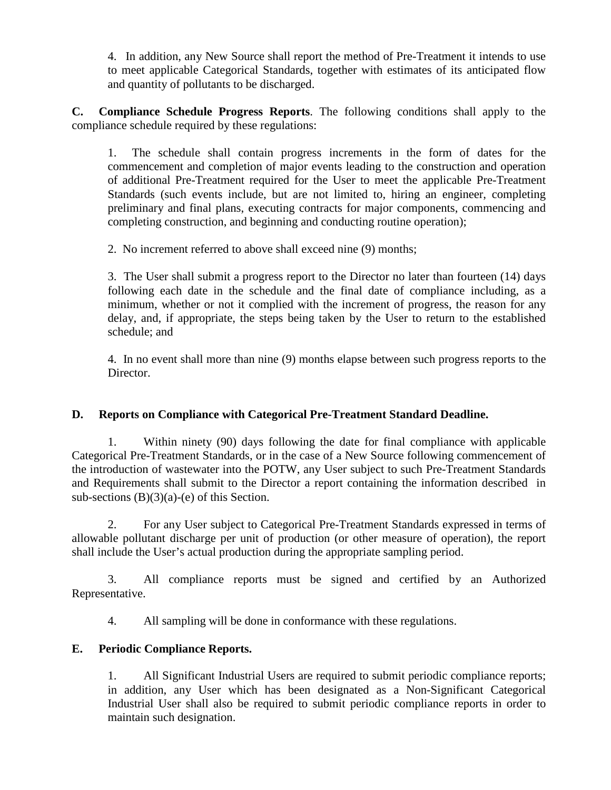4. In addition, any New Source shall report the method of Pre-Treatment it intends to use to meet applicable Categorical Standards, together with estimates of its anticipated flow and quantity of pollutants to be discharged.

**C. Compliance Schedule Progress Reports**. The following conditions shall apply to the compliance schedule required by these regulations:

1. The schedule shall contain progress increments in the form of dates for the commencement and completion of major events leading to the construction and operation of additional Pre-Treatment required for the User to meet the applicable Pre-Treatment Standards (such events include, but are not limited to, hiring an engineer, completing preliminary and final plans, executing contracts for major components, commencing and completing construction, and beginning and conducting routine operation);

2. No increment referred to above shall exceed nine (9) months;

3. The User shall submit a progress report to the Director no later than fourteen (14) days following each date in the schedule and the final date of compliance including, as a minimum, whether or not it complied with the increment of progress, the reason for any delay, and, if appropriate, the steps being taken by the User to return to the established schedule; and

4. In no event shall more than nine (9) months elapse between such progress reports to the Director.

## **D. Reports on Compliance with Categorical Pre-Treatment Standard Deadline.**

1. Within ninety (90) days following the date for final compliance with applicable Categorical Pre-Treatment Standards, or in the case of a New Source following commencement of the introduction of wastewater into the POTW, any User subject to such Pre-Treatment Standards and Requirements shall submit to the Director a report containing the information described in sub-sections  $(B)(3)(a)-(e)$  of this Section.

2. For any User subject to Categorical Pre-Treatment Standards expressed in terms of allowable pollutant discharge per unit of production (or other measure of operation), the report shall include the User's actual production during the appropriate sampling period.

3. All compliance reports must be signed and certified by an Authorized Representative.

4. All sampling will be done in conformance with these regulations.

## **E. Periodic Compliance Reports.**

1. All Significant Industrial Users are required to submit periodic compliance reports; in addition, any User which has been designated as a Non-Significant Categorical Industrial User shall also be required to submit periodic compliance reports in order to maintain such designation.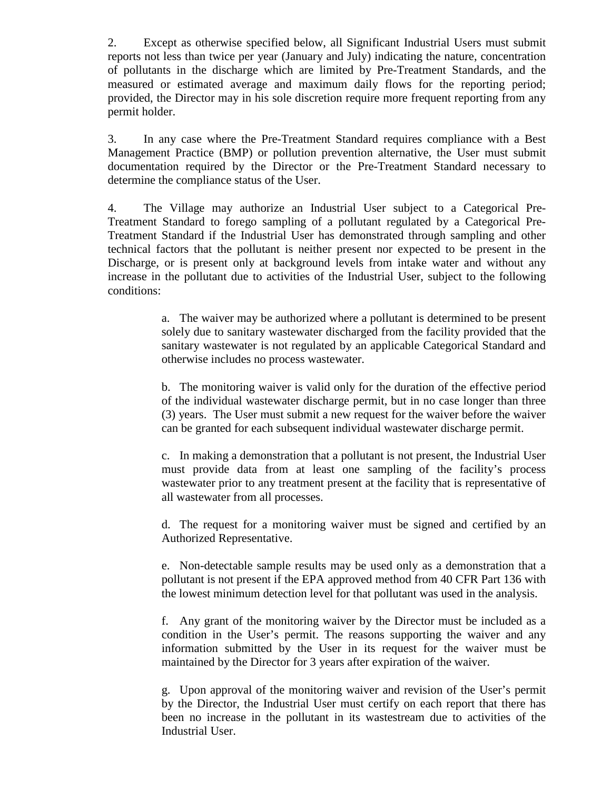2. Except as otherwise specified below, all Significant Industrial Users must submit reports not less than twice per year (January and July) indicating the nature, concentration of pollutants in the discharge which are limited by Pre-Treatment Standards, and the measured or estimated average and maximum daily flows for the reporting period; provided, the Director may in his sole discretion require more frequent reporting from any permit holder.

3. In any case where the Pre-Treatment Standard requires compliance with a Best Management Practice (BMP) or pollution prevention alternative, the User must submit documentation required by the Director or the Pre-Treatment Standard necessary to determine the compliance status of the User.

4. The Village may authorize an Industrial User subject to a Categorical Pre-Treatment Standard to forego sampling of a pollutant regulated by a Categorical Pre-Treatment Standard if the Industrial User has demonstrated through sampling and other technical factors that the pollutant is neither present nor expected to be present in the Discharge, or is present only at background levels from intake water and without any increase in the pollutant due to activities of the Industrial User, subject to the following conditions:

> a. The waiver may be authorized where a pollutant is determined to be present solely due to sanitary wastewater discharged from the facility provided that the sanitary wastewater is not regulated by an applicable Categorical Standard and otherwise includes no process wastewater.

> b. The monitoring waiver is valid only for the duration of the effective period of the individual wastewater discharge permit, but in no case longer than three (3) years. The User must submit a new request for the waiver before the waiver can be granted for each subsequent individual wastewater discharge permit.

> c. In making a demonstration that a pollutant is not present, the Industrial User must provide data from at least one sampling of the facility's process wastewater prior to any treatment present at the facility that is representative of all wastewater from all processes.

> d. The request for a monitoring waiver must be signed and certified by an Authorized Representative.

> e. Non-detectable sample results may be used only as a demonstration that a pollutant is not present if the EPA approved method from 40 CFR Part 136 with the lowest minimum detection level for that pollutant was used in the analysis.

> f. Any grant of the monitoring waiver by the Director must be included as a condition in the User's permit. The reasons supporting the waiver and any information submitted by the User in its request for the waiver must be maintained by the Director for 3 years after expiration of the waiver.

> g. Upon approval of the monitoring waiver and revision of the User's permit by the Director, the Industrial User must certify on each report that there has been no increase in the pollutant in its wastestream due to activities of the Industrial User.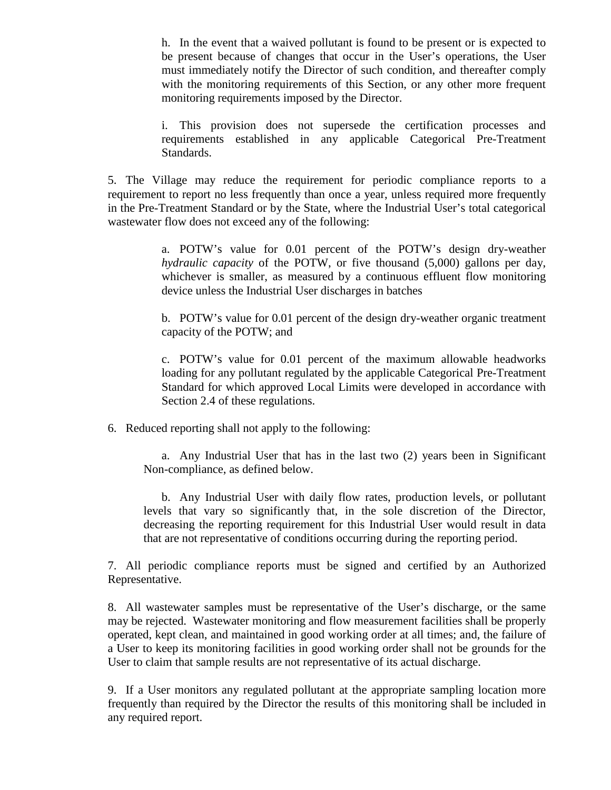h. In the event that a waived pollutant is found to be present or is expected to be present because of changes that occur in the User's operations, the User must immediately notify the Director of such condition, and thereafter comply with the monitoring requirements of this Section, or any other more frequent monitoring requirements imposed by the Director.

i. This provision does not supersede the certification processes and requirements established in any applicable Categorical Pre-Treatment Standards.

5. The Village may reduce the requirement for periodic compliance reports to a requirement to report no less frequently than once a year, unless required more frequently in the Pre-Treatment Standard or by the State, where the Industrial User's total categorical wastewater flow does not exceed any of the following:

> a. POTW's value for 0.01 percent of the POTW's design dry-weather *hydraulic capacity* of the POTW, or five thousand (5,000) gallons per day, whichever is smaller, as measured by a continuous effluent flow monitoring device unless the Industrial User discharges in batches

> b. POTW's value for 0.01 percent of the design dry-weather organic treatment capacity of the POTW; and

> c. POTW's value for 0.01 percent of the maximum allowable headworks loading for any pollutant regulated by the applicable Categorical Pre-Treatment Standard for which approved Local Limits were developed in accordance with Section 2.4 of these regulations.

6. Reduced reporting shall not apply to the following:

a. Any Industrial User that has in the last two (2) years been in Significant Non-compliance, as defined below.

b. Any Industrial User with daily flow rates, production levels, or pollutant levels that vary so significantly that, in the sole discretion of the Director, decreasing the reporting requirement for this Industrial User would result in data that are not representative of conditions occurring during the reporting period.

7. All periodic compliance reports must be signed and certified by an Authorized Representative.

8. All wastewater samples must be representative of the User's discharge, or the same may be rejected. Wastewater monitoring and flow measurement facilities shall be properly operated, kept clean, and maintained in good working order at all times; and, the failure of a User to keep its monitoring facilities in good working order shall not be grounds for the User to claim that sample results are not representative of its actual discharge.

9. If a User monitors any regulated pollutant at the appropriate sampling location more frequently than required by the Director the results of this monitoring shall be included in any required report.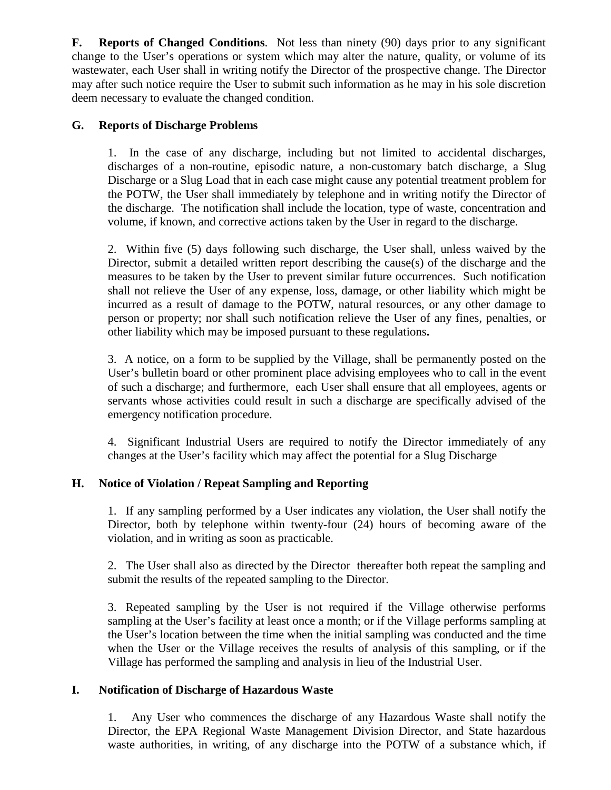**F. Reports of Changed Conditions**. Not less than ninety (90) days prior to any significant change to the User's operations or system which may alter the nature, quality, or volume of its wastewater, each User shall in writing notify the Director of the prospective change. The Director may after such notice require the User to submit such information as he may in his sole discretion deem necessary to evaluate the changed condition.

### **G. Reports of Discharge Problems**

1. In the case of any discharge, including but not limited to accidental discharges, discharges of a non-routine, episodic nature, a non-customary batch discharge, a Slug Discharge or a Slug Load that in each case might cause any potential treatment problem for the POTW, the User shall immediately by telephone and in writing notify the Director of the discharge. The notification shall include the location, type of waste, concentration and volume, if known, and corrective actions taken by the User in regard to the discharge.

2. Within five (5) days following such discharge, the User shall, unless waived by the Director, submit a detailed written report describing the cause(s) of the discharge and the measures to be taken by the User to prevent similar future occurrences. Such notification shall not relieve the User of any expense, loss, damage, or other liability which might be incurred as a result of damage to the POTW, natural resources, or any other damage to person or property; nor shall such notification relieve the User of any fines, penalties, or other liability which may be imposed pursuant to these regulations**.** 

3. A notice, on a form to be supplied by the Village, shall be permanently posted on the User's bulletin board or other prominent place advising employees who to call in the event of such a discharge; and furthermore, each User shall ensure that all employees, agents or servants whose activities could result in such a discharge are specifically advised of the emergency notification procedure.

4. Significant Industrial Users are required to notify the Director immediately of any changes at the User's facility which may affect the potential for a Slug Discharge

#### **H. Notice of Violation / Repeat Sampling and Reporting**

1. If any sampling performed by a User indicates any violation, the User shall notify the Director, both by telephone within twenty-four (24) hours of becoming aware of the violation, and in writing as soon as practicable.

2. The User shall also as directed by the Director thereafter both repeat the sampling and submit the results of the repeated sampling to the Director.

3. Repeated sampling by the User is not required if the Village otherwise performs sampling at the User's facility at least once a month; or if the Village performs sampling at the User's location between the time when the initial sampling was conducted and the time when the User or the Village receives the results of analysis of this sampling, or if the Village has performed the sampling and analysis in lieu of the Industrial User.

#### **I. Notification of Discharge of Hazardous Waste**

1. Any User who commences the discharge of any Hazardous Waste shall notify the Director, the EPA Regional Waste Management Division Director, and State hazardous waste authorities, in writing, of any discharge into the POTW of a substance which, if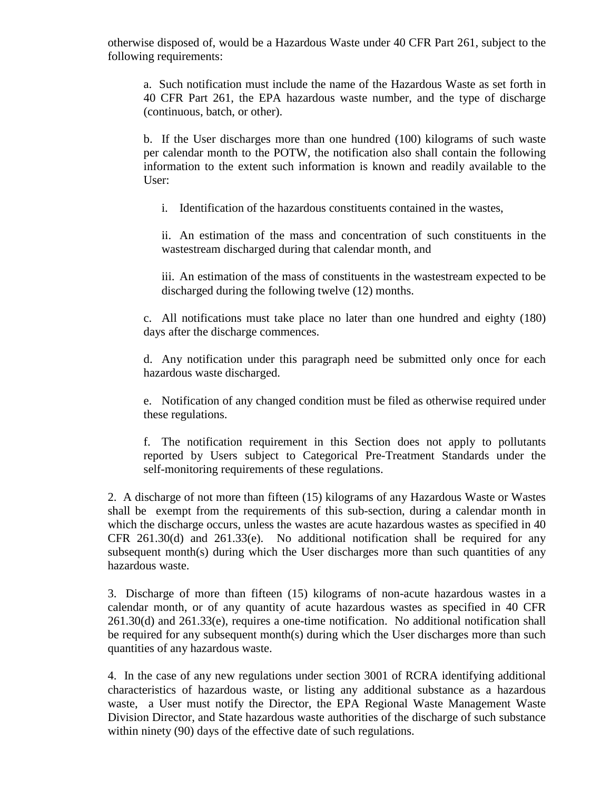otherwise disposed of, would be a Hazardous Waste under 40 CFR Part 261, subject to the following requirements:

a. Such notification must include the name of the Hazardous Waste as set forth in 40 CFR Part 261, the EPA hazardous waste number, and the type of discharge (continuous, batch, or other).

b. If the User discharges more than one hundred (100) kilograms of such waste per calendar month to the POTW, the notification also shall contain the following information to the extent such information is known and readily available to the User:

i. Identification of the hazardous constituents contained in the wastes,

ii. An estimation of the mass and concentration of such constituents in the wastestream discharged during that calendar month, and

iii. An estimation of the mass of constituents in the wastestream expected to be discharged during the following twelve (12) months.

c. All notifications must take place no later than one hundred and eighty (180) days after the discharge commences.

d. Any notification under this paragraph need be submitted only once for each hazardous waste discharged.

e. Notification of any changed condition must be filed as otherwise required under these regulations.

f. The notification requirement in this Section does not apply to pollutants reported by Users subject to Categorical Pre-Treatment Standards under the self-monitoring requirements of these regulations.

2. A discharge of not more than fifteen (15) kilograms of any Hazardous Waste or Wastes shall be exempt from the requirements of this sub-section, during a calendar month in which the discharge occurs, unless the wastes are acute hazardous wastes as specified in 40 CFR  $261.30(d)$  and  $261.33(e)$ . No additional notification shall be required for any subsequent month(s) during which the User discharges more than such quantities of any hazardous waste.

3. Discharge of more than fifteen (15) kilograms of non-acute hazardous wastes in a calendar month, or of any quantity of acute hazardous wastes as specified in 40 CFR 261.30(d) and 261.33(e), requires a one-time notification. No additional notification shall be required for any subsequent month(s) during which the User discharges more than such quantities of any hazardous waste.

4. In the case of any new regulations under section 3001 of RCRA identifying additional characteristics of hazardous waste, or listing any additional substance as a hazardous waste, a User must notify the Director, the EPA Regional Waste Management Waste Division Director, and State hazardous waste authorities of the discharge of such substance within ninety (90) days of the effective date of such regulations.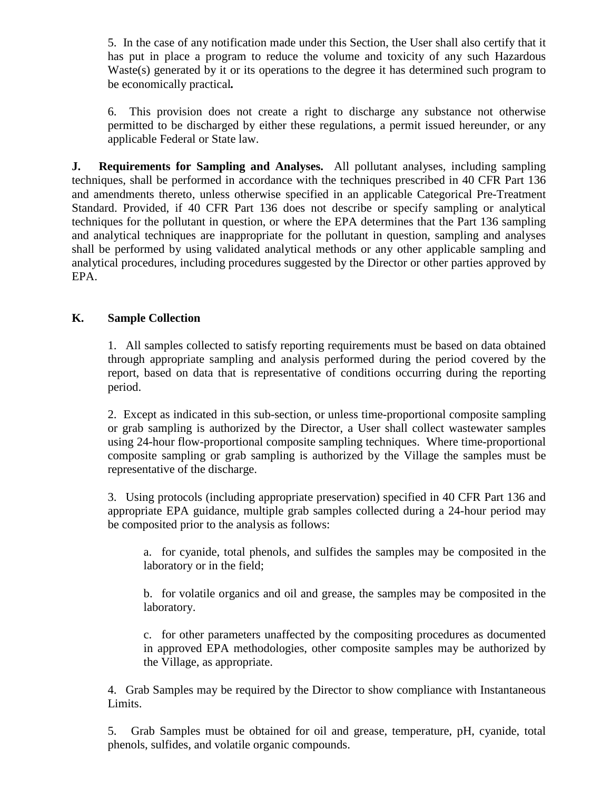5. In the case of any notification made under this Section, the User shall also certify that it has put in place a program to reduce the volume and toxicity of any such Hazardous Waste(s) generated by it or its operations to the degree it has determined such program to be economically practical*.*

6. This provision does not create a right to discharge any substance not otherwise permitted to be discharged by either these regulations, a permit issued hereunder, or any applicable Federal or State law.

**J. Requirements for Sampling and Analyses.** All pollutant analyses, including sampling techniques, shall be performed in accordance with the techniques prescribed in 40 CFR Part 136 and amendments thereto, unless otherwise specified in an applicable Categorical Pre-Treatment Standard. Provided, if 40 CFR Part 136 does not describe or specify sampling or analytical techniques for the pollutant in question, or where the EPA determines that the Part 136 sampling and analytical techniques are inappropriate for the pollutant in question, sampling and analyses shall be performed by using validated analytical methods or any other applicable sampling and analytical procedures, including procedures suggested by the Director or other parties approved by EPA.

### **K. Sample Collection**

1. All samples collected to satisfy reporting requirements must be based on data obtained through appropriate sampling and analysis performed during the period covered by the report, based on data that is representative of conditions occurring during the reporting period.

2. Except as indicated in this sub-section, or unless time-proportional composite sampling or grab sampling is authorized by the Director, a User shall collect wastewater samples using 24-hour flow-proportional composite sampling techniques. Where time-proportional composite sampling or grab sampling is authorized by the Village the samples must be representative of the discharge.

3. Using protocols (including appropriate preservation) specified in 40 CFR Part 136 and appropriate EPA guidance, multiple grab samples collected during a 24-hour period may be composited prior to the analysis as follows:

a. for cyanide, total phenols, and sulfides the samples may be composited in the laboratory or in the field;

b. for volatile organics and oil and grease, the samples may be composited in the laboratory.

c. for other parameters unaffected by the compositing procedures as documented in approved EPA methodologies, other composite samples may be authorized by the Village, as appropriate.

4. Grab Samples may be required by the Director to show compliance with Instantaneous Limits.

5. Grab Samples must be obtained for oil and grease, temperature, pH, cyanide, total phenols, sulfides, and volatile organic compounds.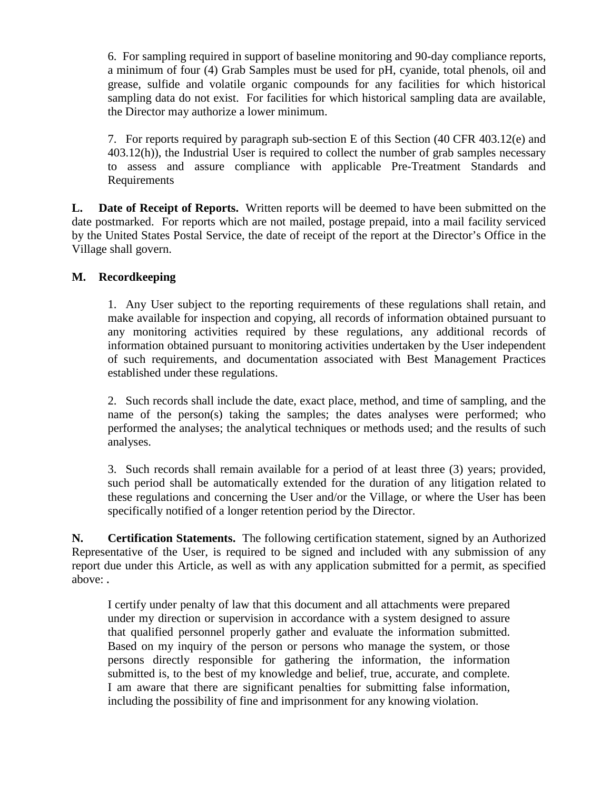6. For sampling required in support of baseline monitoring and 90-day compliance reports, a minimum of four (4) Grab Samples must be used for pH, cyanide, total phenols, oil and grease, sulfide and volatile organic compounds for any facilities for which historical sampling data do not exist. For facilities for which historical sampling data are available, the Director may authorize a lower minimum.

7. For reports required by paragraph sub-section E of this Section (40 CFR 403.12(e) and 403.12(h)), the Industrial User is required to collect the number of grab samples necessary to assess and assure compliance with applicable Pre-Treatment Standards and Requirements

**L. Date of Receipt of Reports.** Written reports will be deemed to have been submitted on the date postmarked. For reports which are not mailed, postage prepaid, into a mail facility serviced by the United States Postal Service, the date of receipt of the report at the Director's Office in the Village shall govern.

### **M. Recordkeeping**

1. Any User subject to the reporting requirements of these regulations shall retain, and make available for inspection and copying, all records of information obtained pursuant to any monitoring activities required by these regulations, any additional records of information obtained pursuant to monitoring activities undertaken by the User independent of such requirements, and documentation associated with Best Management Practices established under these regulations.

2. Such records shall include the date, exact place, method, and time of sampling, and the name of the person(s) taking the samples; the dates analyses were performed; who performed the analyses; the analytical techniques or methods used; and the results of such analyses.

3. Such records shall remain available for a period of at least three (3) years; provided, such period shall be automatically extended for the duration of any litigation related to these regulations and concerning the User and/or the Village, or where the User has been specifically notified of a longer retention period by the Director.

**N. Certification Statements.** The following certification statement, signed by an Authorized Representative of the User, is required to be signed and included with any submission of any report due under this Article, as well as with any application submitted for a permit, as specified above: **.** 

I certify under penalty of law that this document and all attachments were prepared under my direction or supervision in accordance with a system designed to assure that qualified personnel properly gather and evaluate the information submitted. Based on my inquiry of the person or persons who manage the system, or those persons directly responsible for gathering the information, the information submitted is, to the best of my knowledge and belief, true, accurate, and complete. I am aware that there are significant penalties for submitting false information, including the possibility of fine and imprisonment for any knowing violation.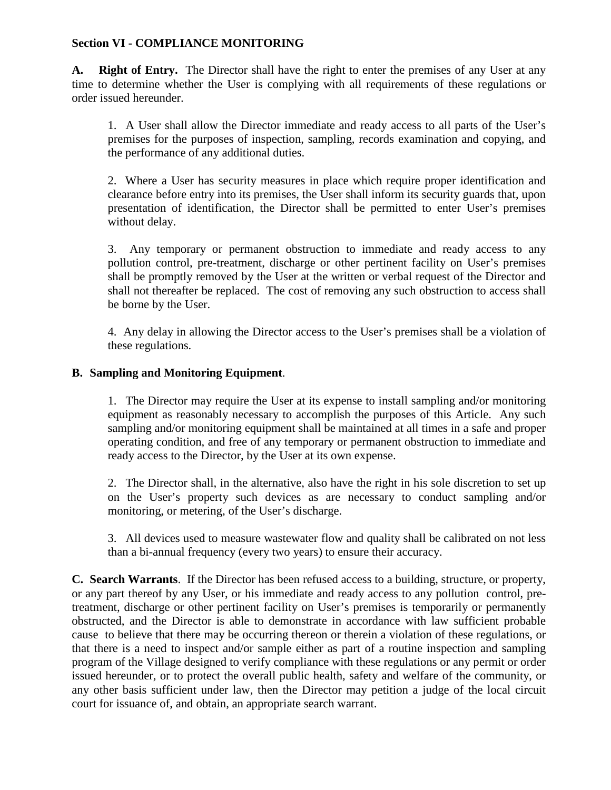### **Section VI - COMPLIANCE MONITORING**

**A. Right of Entry.** The Director shall have the right to enter the premises of any User at any time to determine whether the User is complying with all requirements of these regulations or order issued hereunder.

1. A User shall allow the Director immediate and ready access to all parts of the User's premises for the purposes of inspection, sampling, records examination and copying, and the performance of any additional duties.

2. Where a User has security measures in place which require proper identification and clearance before entry into its premises, the User shall inform its security guards that, upon presentation of identification, the Director shall be permitted to enter User's premises without delay.

3. Any temporary or permanent obstruction to immediate and ready access to any pollution control, pre-treatment, discharge or other pertinent facility on User's premises shall be promptly removed by the User at the written or verbal request of the Director and shall not thereafter be replaced. The cost of removing any such obstruction to access shall be borne by the User.

4. Any delay in allowing the Director access to the User's premises shall be a violation of these regulations.

### **B. Sampling and Monitoring Equipment**.

1. The Director may require the User at its expense to install sampling and/or monitoring equipment as reasonably necessary to accomplish the purposes of this Article. Any such sampling and/or monitoring equipment shall be maintained at all times in a safe and proper operating condition, and free of any temporary or permanent obstruction to immediate and ready access to the Director, by the User at its own expense.

2. The Director shall, in the alternative, also have the right in his sole discretion to set up on the User's property such devices as are necessary to conduct sampling and/or monitoring, or metering, of the User's discharge.

3. All devices used to measure wastewater flow and quality shall be calibrated on not less than a bi-annual frequency (every two years) to ensure their accuracy.

**C. Search Warrants**. If the Director has been refused access to a building, structure, or property, or any part thereof by any User, or his immediate and ready access to any pollution control, pretreatment, discharge or other pertinent facility on User's premises is temporarily or permanently obstructed, and the Director is able to demonstrate in accordance with law sufficient probable cause to believe that there may be occurring thereon or therein a violation of these regulations, or that there is a need to inspect and/or sample either as part of a routine inspection and sampling program of the Village designed to verify compliance with these regulations or any permit or order issued hereunder, or to protect the overall public health, safety and welfare of the community, or any other basis sufficient under law, then the Director may petition a judge of the local circuit court for issuance of, and obtain, an appropriate search warrant.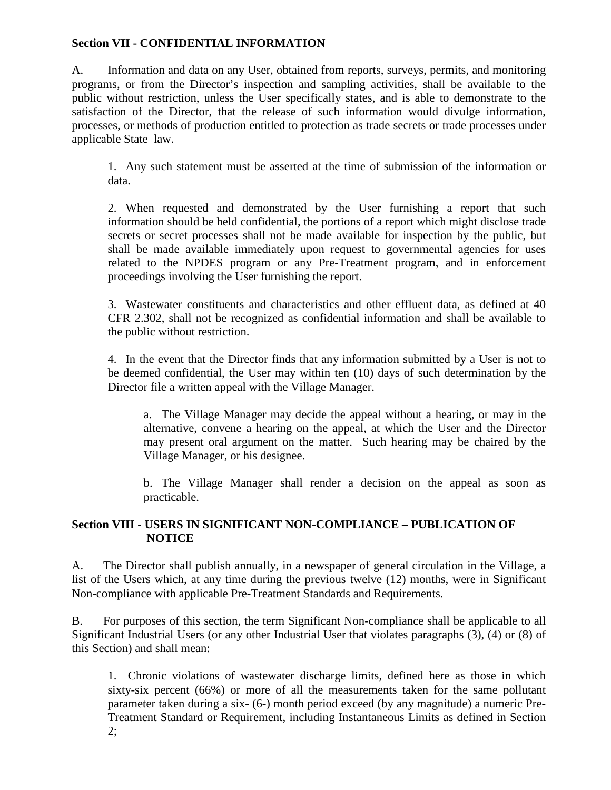### **Section VII - CONFIDENTIAL INFORMATION**

A. Information and data on any User, obtained from reports, surveys, permits, and monitoring programs, or from the Director's inspection and sampling activities, shall be available to the public without restriction, unless the User specifically states, and is able to demonstrate to the satisfaction of the Director, that the release of such information would divulge information, processes, or methods of production entitled to protection as trade secrets or trade processes under applicable State law.

1. Any such statement must be asserted at the time of submission of the information or data.

2. When requested and demonstrated by the User furnishing a report that such information should be held confidential, the portions of a report which might disclose trade secrets or secret processes shall not be made available for inspection by the public, but shall be made available immediately upon request to governmental agencies for uses related to the NPDES program or any Pre-Treatment program, and in enforcement proceedings involving the User furnishing the report.

3. Wastewater constituents and characteristics and other effluent data, as defined at 40 CFR 2.302, shall not be recognized as confidential information and shall be available to the public without restriction.

4. In the event that the Director finds that any information submitted by a User is not to be deemed confidential, the User may within ten (10) days of such determination by the Director file a written appeal with the Village Manager.

a. The Village Manager may decide the appeal without a hearing, or may in the alternative, convene a hearing on the appeal, at which the User and the Director may present oral argument on the matter. Such hearing may be chaired by the Village Manager, or his designee.

b. The Village Manager shall render a decision on the appeal as soon as practicable.

### **Section VIII - USERS IN SIGNIFICANT NON-COMPLIANCE – PUBLICATION OF NOTICE**

A. The Director shall publish annually, in a newspaper of general circulation in the Village, a list of the Users which, at any time during the previous twelve (12) months, were in Significant Non-compliance with applicable Pre-Treatment Standards and Requirements.

B. For purposes of this section, the term Significant Non-compliance shall be applicable to all Significant Industrial Users (or any other Industrial User that violates paragraphs (3), (4) or (8) of this Section) and shall mean:

1. Chronic violations of wastewater discharge limits, defined here as those in which sixty-six percent (66%) or more of all the measurements taken for the same pollutant parameter taken during a six- (6-) month period exceed (by any magnitude) a numeric Pre-Treatment Standard or Requirement, including Instantaneous Limits as defined in Section  $2:$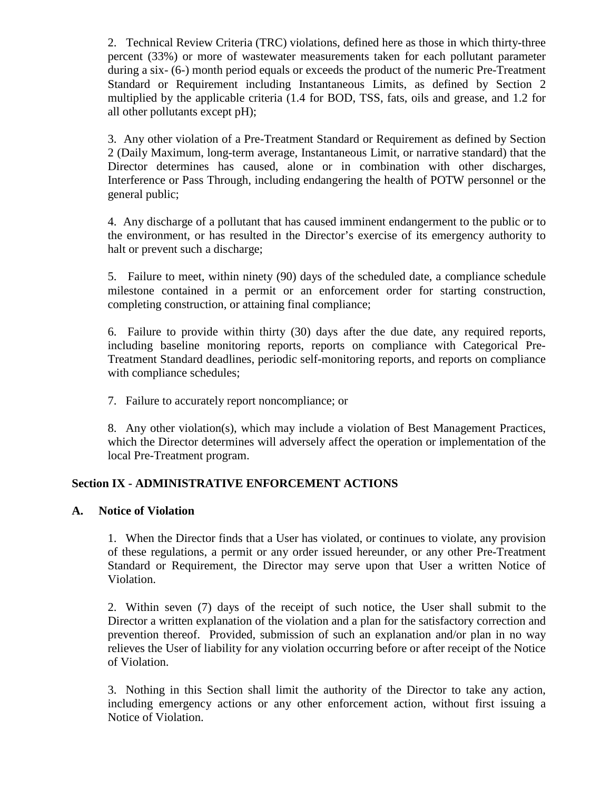2. Technical Review Criteria (TRC) violations, defined here as those in which thirty-three percent (33%) or more of wastewater measurements taken for each pollutant parameter during a six- (6-) month period equals or exceeds the product of the numeric Pre-Treatment Standard or Requirement including Instantaneous Limits, as defined by Section 2 multiplied by the applicable criteria (1.4 for BOD, TSS, fats, oils and grease, and 1.2 for all other pollutants except pH);

3. Any other violation of a Pre-Treatment Standard or Requirement as defined by Section 2 (Daily Maximum, long-term average, Instantaneous Limit, or narrative standard) that the Director determines has caused, alone or in combination with other discharges, Interference or Pass Through, including endangering the health of POTW personnel or the general public;

4. Any discharge of a pollutant that has caused imminent endangerment to the public or to the environment, or has resulted in the Director's exercise of its emergency authority to halt or prevent such a discharge;

5. Failure to meet, within ninety (90) days of the scheduled date, a compliance schedule milestone contained in a permit or an enforcement order for starting construction, completing construction, or attaining final compliance;

6. Failure to provide within thirty (30) days after the due date, any required reports, including baseline monitoring reports, reports on compliance with Categorical Pre-Treatment Standard deadlines, periodic self-monitoring reports, and reports on compliance with compliance schedules;

7. Failure to accurately report noncompliance; or

8. Any other violation(s), which may include a violation of Best Management Practices, which the Director determines will adversely affect the operation or implementation of the local Pre-Treatment program.

#### **Section IX - ADMINISTRATIVE ENFORCEMENT ACTIONS**

#### **A. Notice of Violation**

1. When the Director finds that a User has violated, or continues to violate, any provision of these regulations, a permit or any order issued hereunder, or any other Pre-Treatment Standard or Requirement, the Director may serve upon that User a written Notice of Violation.

2. Within seven (7) days of the receipt of such notice, the User shall submit to the Director a written explanation of the violation and a plan for the satisfactory correction and prevention thereof. Provided, submission of such an explanation and/or plan in no way relieves the User of liability for any violation occurring before or after receipt of the Notice of Violation.

3. Nothing in this Section shall limit the authority of the Director to take any action, including emergency actions or any other enforcement action, without first issuing a Notice of Violation.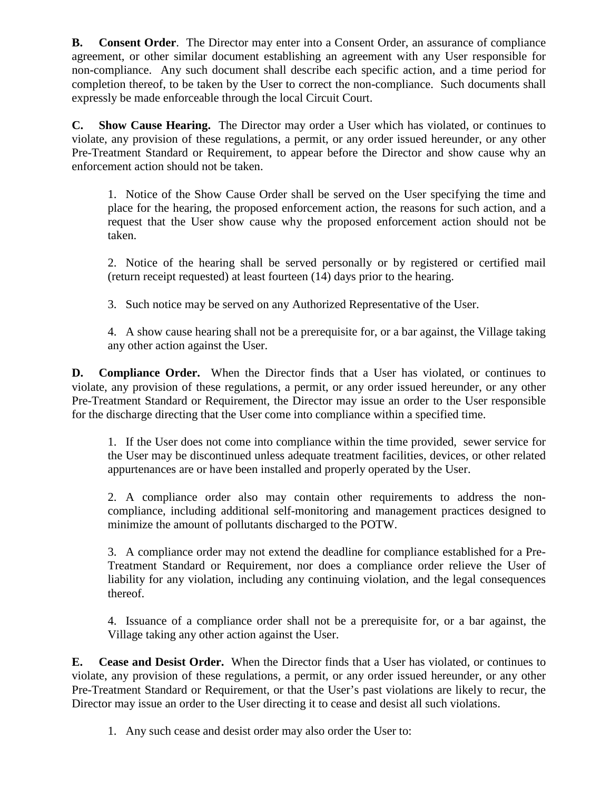**B. Consent Order**. The Director may enter into a Consent Order, an assurance of compliance agreement, or other similar document establishing an agreement with any User responsible for non-compliance. Any such document shall describe each specific action, and a time period for completion thereof, to be taken by the User to correct the non-compliance. Such documents shall expressly be made enforceable through the local Circuit Court.

**C. Show Cause Hearing.** The Director may order a User which has violated, or continues to violate, any provision of these regulations, a permit, or any order issued hereunder, or any other Pre-Treatment Standard or Requirement, to appear before the Director and show cause why an enforcement action should not be taken.

1. Notice of the Show Cause Order shall be served on the User specifying the time and place for the hearing, the proposed enforcement action, the reasons for such action, and a request that the User show cause why the proposed enforcement action should not be taken.

2. Notice of the hearing shall be served personally or by registered or certified mail (return receipt requested) at least fourteen (14) days prior to the hearing.

3. Such notice may be served on any Authorized Representative of the User.

4. A show cause hearing shall not be a prerequisite for, or a bar against, the Village taking any other action against the User.

**D. Compliance Order.** When the Director finds that a User has violated, or continues to violate, any provision of these regulations, a permit, or any order issued hereunder, or any other Pre-Treatment Standard or Requirement, the Director may issue an order to the User responsible for the discharge directing that the User come into compliance within a specified time.

1. If the User does not come into compliance within the time provided, sewer service for the User may be discontinued unless adequate treatment facilities, devices, or other related appurtenances are or have been installed and properly operated by the User.

2. A compliance order also may contain other requirements to address the noncompliance, including additional self-monitoring and management practices designed to minimize the amount of pollutants discharged to the POTW.

3. A compliance order may not extend the deadline for compliance established for a Pre-Treatment Standard or Requirement, nor does a compliance order relieve the User of liability for any violation, including any continuing violation, and the legal consequences thereof.

4. Issuance of a compliance order shall not be a prerequisite for, or a bar against, the Village taking any other action against the User.

**E. Cease and Desist Order.** When the Director finds that a User has violated, or continues to violate, any provision of these regulations, a permit, or any order issued hereunder, or any other Pre-Treatment Standard or Requirement, or that the User's past violations are likely to recur, the Director may issue an order to the User directing it to cease and desist all such violations.

1. Any such cease and desist order may also order the User to: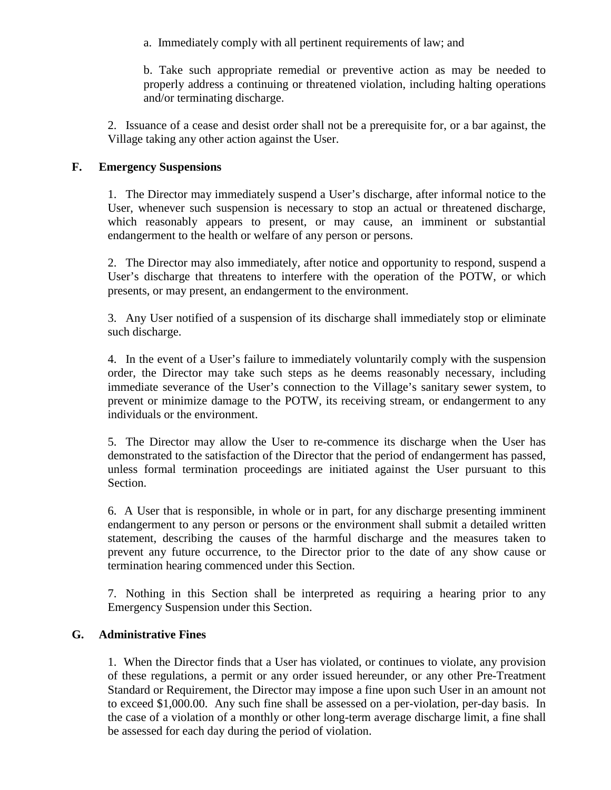a. Immediately comply with all pertinent requirements of law; and

b. Take such appropriate remedial or preventive action as may be needed to properly address a continuing or threatened violation, including halting operations and/or terminating discharge.

2. Issuance of a cease and desist order shall not be a prerequisite for, or a bar against, the Village taking any other action against the User.

### **F. Emergency Suspensions**

1. The Director may immediately suspend a User's discharge, after informal notice to the User, whenever such suspension is necessary to stop an actual or threatened discharge, which reasonably appears to present, or may cause, an imminent or substantial endangerment to the health or welfare of any person or persons.

2. The Director may also immediately, after notice and opportunity to respond, suspend a User's discharge that threatens to interfere with the operation of the POTW, or which presents, or may present, an endangerment to the environment.

3. Any User notified of a suspension of its discharge shall immediately stop or eliminate such discharge.

4. In the event of a User's failure to immediately voluntarily comply with the suspension order, the Director may take such steps as he deems reasonably necessary, including immediate severance of the User's connection to the Village's sanitary sewer system, to prevent or minimize damage to the POTW, its receiving stream, or endangerment to any individuals or the environment.

5. The Director may allow the User to re-commence its discharge when the User has demonstrated to the satisfaction of the Director that the period of endangerment has passed, unless formal termination proceedings are initiated against the User pursuant to this Section.

6. A User that is responsible, in whole or in part, for any discharge presenting imminent endangerment to any person or persons or the environment shall submit a detailed written statement, describing the causes of the harmful discharge and the measures taken to prevent any future occurrence, to the Director prior to the date of any show cause or termination hearing commenced under this Section.

7. Nothing in this Section shall be interpreted as requiring a hearing prior to any Emergency Suspension under this Section.

#### **G. Administrative Fines**

1. When the Director finds that a User has violated, or continues to violate, any provision of these regulations, a permit or any order issued hereunder, or any other Pre-Treatment Standard or Requirement, the Director may impose a fine upon such User in an amount not to exceed \$1,000.00. Any such fine shall be assessed on a per-violation, per-day basis. In the case of a violation of a monthly or other long-term average discharge limit, a fine shall be assessed for each day during the period of violation.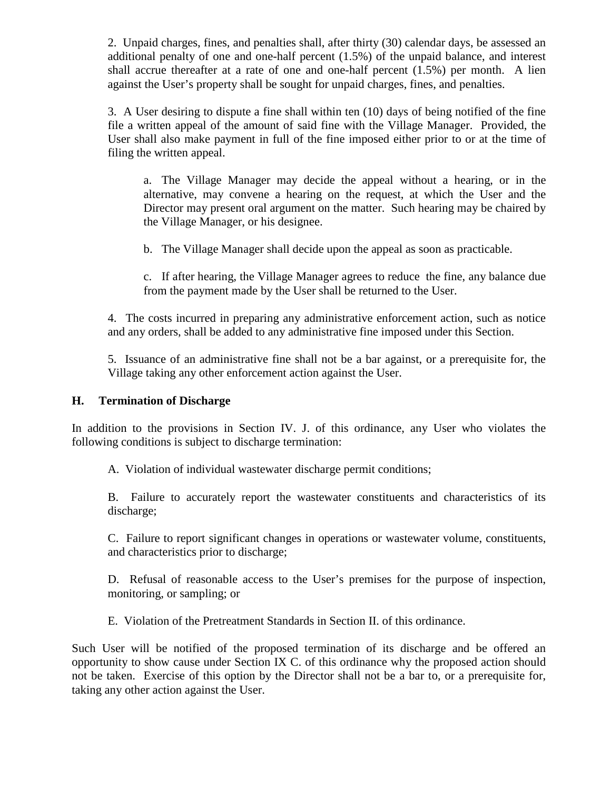2. Unpaid charges, fines, and penalties shall, after thirty (30) calendar days, be assessed an additional penalty of one and one-half percent (1.5%) of the unpaid balance, and interest shall accrue thereafter at a rate of one and one-half percent (1.5%) per month. A lien against the User's property shall be sought for unpaid charges, fines, and penalties.

3. A User desiring to dispute a fine shall within ten (10) days of being notified of the fine file a written appeal of the amount of said fine with the Village Manager. Provided, the User shall also make payment in full of the fine imposed either prior to or at the time of filing the written appeal.

a. The Village Manager may decide the appeal without a hearing, or in the alternative, may convene a hearing on the request, at which the User and the Director may present oral argument on the matter. Such hearing may be chaired by the Village Manager, or his designee.

b. The Village Manager shall decide upon the appeal as soon as practicable.

c. If after hearing, the Village Manager agrees to reduce the fine, any balance due from the payment made by the User shall be returned to the User.

4. The costs incurred in preparing any administrative enforcement action, such as notice and any orders, shall be added to any administrative fine imposed under this Section.

5. Issuance of an administrative fine shall not be a bar against, or a prerequisite for, the Village taking any other enforcement action against the User.

### **H. Termination of Discharge**

In addition to the provisions in Section IV. J. of this ordinance, any User who violates the following conditions is subject to discharge termination:

A. Violation of individual wastewater discharge permit conditions;

B. Failure to accurately report the wastewater constituents and characteristics of its discharge;

C. Failure to report significant changes in operations or wastewater volume, constituents, and characteristics prior to discharge;

D. Refusal of reasonable access to the User's premises for the purpose of inspection, monitoring, or sampling; or

E. Violation of the Pretreatment Standards in Section II. of this ordinance.

Such User will be notified of the proposed termination of its discharge and be offered an opportunity to show cause under Section IX C. of this ordinance why the proposed action should not be taken. Exercise of this option by the Director shall not be a bar to, or a prerequisite for, taking any other action against the User.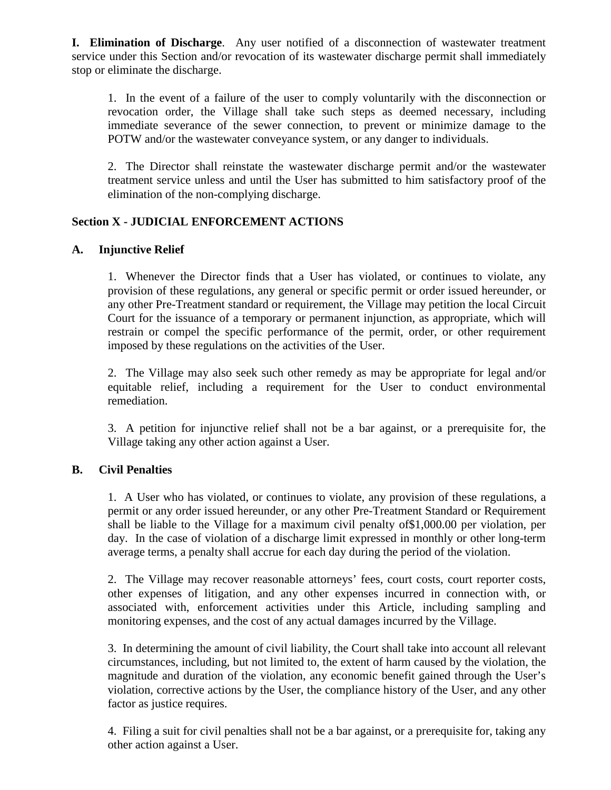**I. Elimination of Discharge**. Any user notified of a disconnection of wastewater treatment service under this Section and/or revocation of its wastewater discharge permit shall immediately stop or eliminate the discharge.

1. In the event of a failure of the user to comply voluntarily with the disconnection or revocation order, the Village shall take such steps as deemed necessary, including immediate severance of the sewer connection, to prevent or minimize damage to the POTW and/or the wastewater conveyance system, or any danger to individuals.

2. The Director shall reinstate the wastewater discharge permit and/or the wastewater treatment service unless and until the User has submitted to him satisfactory proof of the elimination of the non-complying discharge.

### **Section X - JUDICIAL ENFORCEMENT ACTIONS**

### **A. Injunctive Relief**

1. Whenever the Director finds that a User has violated, or continues to violate, any provision of these regulations, any general or specific permit or order issued hereunder, or any other Pre-Treatment standard or requirement, the Village may petition the local Circuit Court for the issuance of a temporary or permanent injunction, as appropriate, which will restrain or compel the specific performance of the permit, order, or other requirement imposed by these regulations on the activities of the User.

2. The Village may also seek such other remedy as may be appropriate for legal and/or equitable relief, including a requirement for the User to conduct environmental remediation.

3. A petition for injunctive relief shall not be a bar against, or a prerequisite for, the Village taking any other action against a User.

#### **B. Civil Penalties**

1. A User who has violated, or continues to violate, any provision of these regulations, a permit or any order issued hereunder, or any other Pre-Treatment Standard or Requirement shall be liable to the Village for a maximum civil penalty of\$1,000.00 per violation, per day. In the case of violation of a discharge limit expressed in monthly or other long-term average terms, a penalty shall accrue for each day during the period of the violation.

2. The Village may recover reasonable attorneys' fees, court costs, court reporter costs, other expenses of litigation, and any other expenses incurred in connection with, or associated with, enforcement activities under this Article, including sampling and monitoring expenses, and the cost of any actual damages incurred by the Village.

3. In determining the amount of civil liability, the Court shall take into account all relevant circumstances, including, but not limited to, the extent of harm caused by the violation, the magnitude and duration of the violation, any economic benefit gained through the User's violation, corrective actions by the User, the compliance history of the User, and any other factor as justice requires.

4. Filing a suit for civil penalties shall not be a bar against, or a prerequisite for, taking any other action against a User.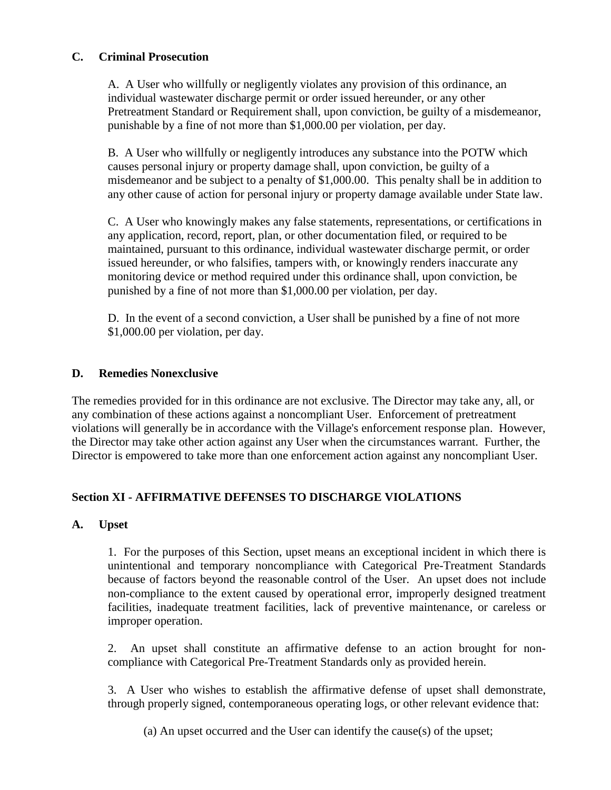### **C. Criminal Prosecution**

A. A User who willfully or negligently violates any provision of this ordinance, an individual wastewater discharge permit or order issued hereunder, or any other Pretreatment Standard or Requirement shall, upon conviction, be guilty of a misdemeanor, punishable by a fine of not more than \$1,000.00 per violation, per day.

B. A User who willfully or negligently introduces any substance into the POTW which causes personal injury or property damage shall, upon conviction, be guilty of a misdemeanor and be subject to a penalty of \$1,000.00. This penalty shall be in addition to any other cause of action for personal injury or property damage available under State law.

C. A User who knowingly makes any false statements, representations, or certifications in any application, record, report, plan, or other documentation filed, or required to be maintained, pursuant to this ordinance, individual wastewater discharge permit, or order issued hereunder, or who falsifies, tampers with, or knowingly renders inaccurate any monitoring device or method required under this ordinance shall, upon conviction, be punished by a fine of not more than \$1,000.00 per violation, per day.

D. In the event of a second conviction, a User shall be punished by a fine of not more \$1,000.00 per violation, per day.

### **D. Remedies Nonexclusive**

The remedies provided for in this ordinance are not exclusive. The Director may take any, all, or any combination of these actions against a noncompliant User. Enforcement of pretreatment violations will generally be in accordance with the Village's enforcement response plan. However, the Director may take other action against any User when the circumstances warrant. Further, the Director is empowered to take more than one enforcement action against any noncompliant User.

#### **Section XI - AFFIRMATIVE DEFENSES TO DISCHARGE VIOLATIONS**

#### **A. Upset**

1. For the purposes of this Section, upset means an exceptional incident in which there is unintentional and temporary noncompliance with Categorical Pre-Treatment Standards because of factors beyond the reasonable control of the User. An upset does not include non-compliance to the extent caused by operational error, improperly designed treatment facilities, inadequate treatment facilities, lack of preventive maintenance, or careless or improper operation.

2. An upset shall constitute an affirmative defense to an action brought for noncompliance with Categorical Pre-Treatment Standards only as provided herein.

3. A User who wishes to establish the affirmative defense of upset shall demonstrate, through properly signed, contemporaneous operating logs, or other relevant evidence that:

(a) An upset occurred and the User can identify the cause(s) of the upset;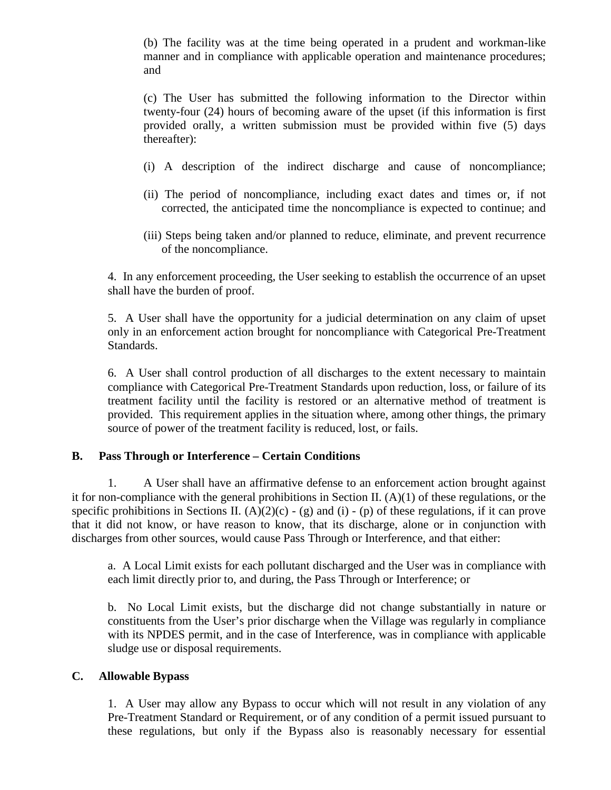(b) The facility was at the time being operated in a prudent and workman-like manner and in compliance with applicable operation and maintenance procedures; and

(c) The User has submitted the following information to the Director within twenty-four (24) hours of becoming aware of the upset (if this information is first provided orally, a written submission must be provided within five (5) days thereafter):

- (i) A description of the indirect discharge and cause of noncompliance;
- (ii) The period of noncompliance, including exact dates and times or, if not corrected, the anticipated time the noncompliance is expected to continue; and
- (iii) Steps being taken and/or planned to reduce, eliminate, and prevent recurrence of the noncompliance.

4. In any enforcement proceeding, the User seeking to establish the occurrence of an upset shall have the burden of proof.

5. A User shall have the opportunity for a judicial determination on any claim of upset only in an enforcement action brought for noncompliance with Categorical Pre-Treatment Standards.

6. A User shall control production of all discharges to the extent necessary to maintain compliance with Categorical Pre-Treatment Standards upon reduction, loss, or failure of its treatment facility until the facility is restored or an alternative method of treatment is provided. This requirement applies in the situation where, among other things, the primary source of power of the treatment facility is reduced, lost, or fails.

### **B. Pass Through or Interference – Certain Conditions**

1. A User shall have an affirmative defense to an enforcement action brought against it for non-compliance with the general prohibitions in Section II. (A)(1) of these regulations, or the specific prohibitions in Sections II.  $(A)(2)(c) - (g)$  and (i) - (p) of these regulations, if it can prove that it did not know, or have reason to know, that its discharge, alone or in conjunction with discharges from other sources, would cause Pass Through or Interference, and that either:

a. A Local Limit exists for each pollutant discharged and the User was in compliance with each limit directly prior to, and during, the Pass Through or Interference; or

b. No Local Limit exists, but the discharge did not change substantially in nature or constituents from the User's prior discharge when the Village was regularly in compliance with its NPDES permit, and in the case of Interference, was in compliance with applicable sludge use or disposal requirements.

#### **C. Allowable Bypass**

1. A User may allow any Bypass to occur which will not result in any violation of any Pre-Treatment Standard or Requirement, or of any condition of a permit issued pursuant to these regulations, but only if the Bypass also is reasonably necessary for essential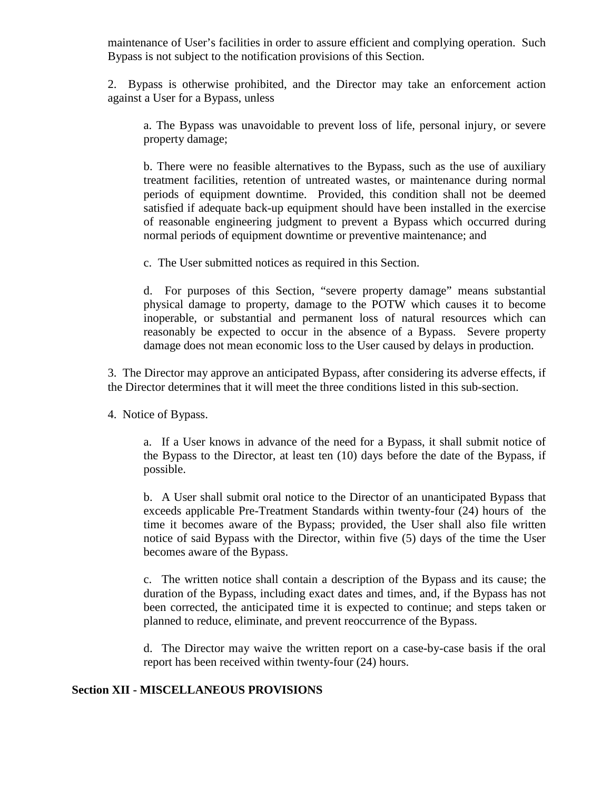maintenance of User's facilities in order to assure efficient and complying operation. Such Bypass is not subject to the notification provisions of this Section.

2. Bypass is otherwise prohibited, and the Director may take an enforcement action against a User for a Bypass, unless

a. The Bypass was unavoidable to prevent loss of life, personal injury, or severe property damage;

b. There were no feasible alternatives to the Bypass, such as the use of auxiliary treatment facilities, retention of untreated wastes, or maintenance during normal periods of equipment downtime. Provided, this condition shall not be deemed satisfied if adequate back-up equipment should have been installed in the exercise of reasonable engineering judgment to prevent a Bypass which occurred during normal periods of equipment downtime or preventive maintenance; and

c. The User submitted notices as required in this Section.

d. For purposes of this Section, "severe property damage" means substantial physical damage to property, damage to the POTW which causes it to become inoperable, or substantial and permanent loss of natural resources which can reasonably be expected to occur in the absence of a Bypass. Severe property damage does not mean economic loss to the User caused by delays in production.

3. The Director may approve an anticipated Bypass, after considering its adverse effects, if the Director determines that it will meet the three conditions listed in this sub-section.

4. Notice of Bypass.

a. If a User knows in advance of the need for a Bypass, it shall submit notice of the Bypass to the Director, at least ten (10) days before the date of the Bypass, if possible.

b. A User shall submit oral notice to the Director of an unanticipated Bypass that exceeds applicable Pre-Treatment Standards within twenty-four (24) hours of the time it becomes aware of the Bypass; provided, the User shall also file written notice of said Bypass with the Director, within five (5) days of the time the User becomes aware of the Bypass.

c. The written notice shall contain a description of the Bypass and its cause; the duration of the Bypass, including exact dates and times, and, if the Bypass has not been corrected, the anticipated time it is expected to continue; and steps taken or planned to reduce, eliminate, and prevent reoccurrence of the Bypass.

d. The Director may waive the written report on a case-by-case basis if the oral report has been received within twenty-four (24) hours.

#### **Section XII - MISCELLANEOUS PROVISIONS**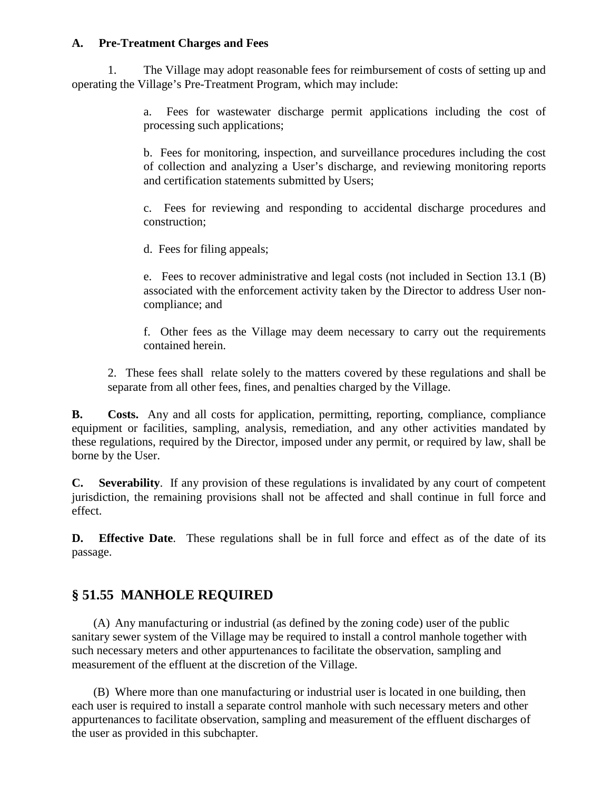### **A. Pre-Treatment Charges and Fees**

1. The Village may adopt reasonable fees for reimbursement of costs of setting up and operating the Village's Pre-Treatment Program, which may include:

> a. Fees for wastewater discharge permit applications including the cost of processing such applications;

> b. Fees for monitoring, inspection, and surveillance procedures including the cost of collection and analyzing a User's discharge, and reviewing monitoring reports and certification statements submitted by Users;

> c. Fees for reviewing and responding to accidental discharge procedures and construction;

d. Fees for filing appeals;

e. Fees to recover administrative and legal costs (not included in Section 13.1 (B) associated with the enforcement activity taken by the Director to address User noncompliance; and

f. Other fees as the Village may deem necessary to carry out the requirements contained herein.

2. These fees shall relate solely to the matters covered by these regulations and shall be separate from all other fees, fines, and penalties charged by the Village.

**B. Costs.** Any and all costs for application, permitting, reporting, compliance, compliance equipment or facilities, sampling, analysis, remediation, and any other activities mandated by these regulations, required by the Director, imposed under any permit, or required by law, shall be borne by the User.

**C. Severability**. If any provision of these regulations is invalidated by any court of competent jurisdiction, the remaining provisions shall not be affected and shall continue in full force and effect.

**D. Effective Date**. These regulations shall be in full force and effect as of the date of its passage.

# **§ 51.55 MANHOLE REQUIRED**

(A) Any manufacturing or industrial (as defined by the zoning code) user of the public sanitary sewer system of the Village may be required to install a control manhole together with such necessary meters and other appurtenances to facilitate the observation, sampling and measurement of the effluent at the discretion of the Village.

(B) Where more than one manufacturing or industrial user is located in one building, then each user is required to install a separate control manhole with such necessary meters and other appurtenances to facilitate observation, sampling and measurement of the effluent discharges of the user as provided in this subchapter.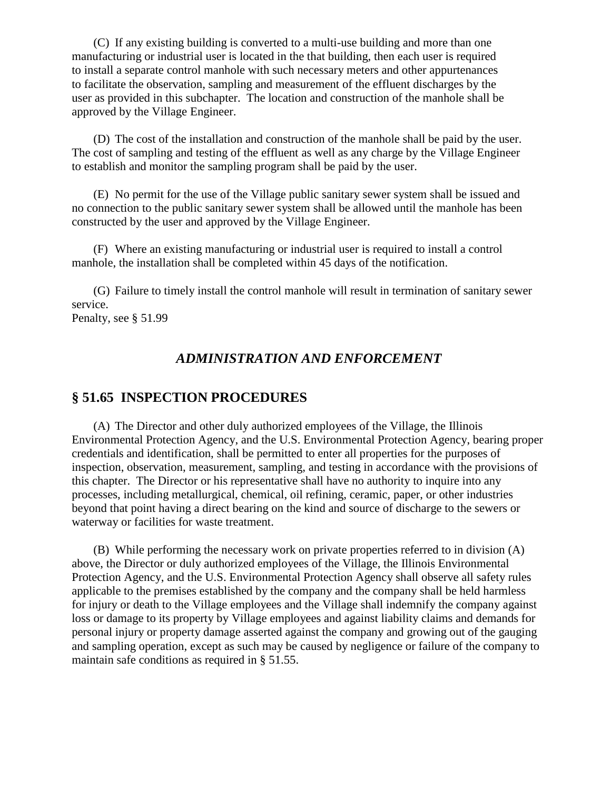(C) If any existing building is converted to a multi-use building and more than one manufacturing or industrial user is located in the that building, then each user is required to install a separate control manhole with such necessary meters and other appurtenances to facilitate the observation, sampling and measurement of the effluent discharges by the user as provided in this subchapter. The location and construction of the manhole shall be approved by the Village Engineer.

(D) The cost of the installation and construction of the manhole shall be paid by the user. The cost of sampling and testing of the effluent as well as any charge by the Village Engineer to establish and monitor the sampling program shall be paid by the user.

(E) No permit for the use of the Village public sanitary sewer system shall be issued and no connection to the public sanitary sewer system shall be allowed until the manhole has been constructed by the user and approved by the Village Engineer.

(F) Where an existing manufacturing or industrial user is required to install a control manhole, the installation shall be completed within 45 days of the notification.

(G) Failure to timely install the control manhole will result in termination of sanitary sewer service.

Penalty, see § 51.99

### *ADMINISTRATION AND ENFORCEMENT*

## **§ 51.65 INSPECTION PROCEDURES**

(A) The Director and other duly authorized employees of the Village, the Illinois Environmental Protection Agency, and the U.S. Environmental Protection Agency, bearing proper credentials and identification, shall be permitted to enter all properties for the purposes of inspection, observation, measurement, sampling, and testing in accordance with the provisions of this chapter. The Director or his representative shall have no authority to inquire into any processes, including metallurgical, chemical, oil refining, ceramic, paper, or other industries beyond that point having a direct bearing on the kind and source of discharge to the sewers or waterway or facilities for waste treatment.

(B) While performing the necessary work on private properties referred to in division (A) above, the Director or duly authorized employees of the Village, the Illinois Environmental Protection Agency, and the U.S. Environmental Protection Agency shall observe all safety rules applicable to the premises established by the company and the company shall be held harmless for injury or death to the Village employees and the Village shall indemnify the company against loss or damage to its property by Village employees and against liability claims and demands for personal injury or property damage asserted against the company and growing out of the gauging and sampling operation, except as such may be caused by negligence or failure of the company to maintain safe conditions as required in § 51.55.